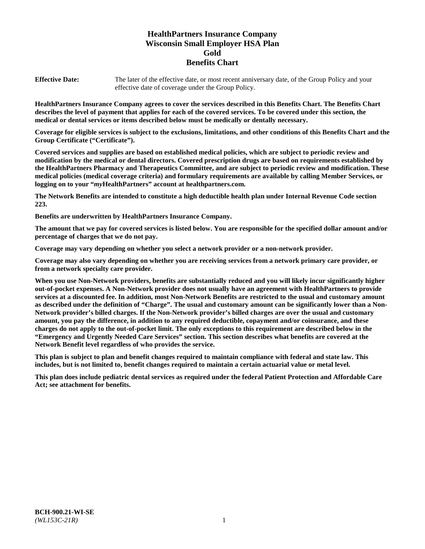# **HealthPartners Insurance Company Wisconsin Small Employer HSA Plan Gold Benefits Chart**

**Effective Date:** The later of the effective date, or most recent anniversary date, of the Group Policy and your effective date of coverage under the Group Policy.

**HealthPartners Insurance Company agrees to cover the services described in this Benefits Chart. The Benefits Chart describes the level of payment that applies for each of the covered services. To be covered under this section, the medical or dental services or items described below must be medically or dentally necessary.**

**Coverage for eligible services is subject to the exclusions, limitations, and other conditions of this Benefits Chart and the Group Certificate ("Certificate").**

**Covered services and supplies are based on established medical policies, which are subject to periodic review and modification by the medical or dental directors. Covered prescription drugs are based on requirements established by the HealthPartners Pharmacy and Therapeutics Committee, and are subject to periodic review and modification. These medical policies (medical coverage criteria) and formulary requirements are available by calling Member Services, or logging on to your "***my***HealthPartners" account at [healthpartners.com.](https://www.healthpartners.com/hp/index.html)**

**The Network Benefits are intended to constitute a high deductible health plan under Internal Revenue Code section 223.**

**Benefits are underwritten by HealthPartners Insurance Company.**

**The amount that we pay for covered services is listed below. You are responsible for the specified dollar amount and/or percentage of charges that we do not pay.**

**Coverage may vary depending on whether you select a network provider or a non-network provider.**

**Coverage may also vary depending on whether you are receiving services from a network primary care provider, or from a network specialty care provider.**

**When you use Non-Network providers, benefits are substantially reduced and you will likely incur significantly higher out-of-pocket expenses. A Non-Network provider does not usually have an agreement with HealthPartners to provide services at a discounted fee. In addition, most Non-Network Benefits are restricted to the usual and customary amount as described under the definition of "Charge". The usual and customary amount can be significantly lower than a Non-Network provider's billed charges. If the Non-Network provider's billed charges are over the usual and customary amount, you pay the difference, in addition to any required deductible, copayment and/or coinsurance, and these charges do not apply to the out-of-pocket limit. The only exceptions to this requirement are described below in the "Emergency and Urgently Needed Care Services" section. This section describes what benefits are covered at the Network Benefit level regardless of who provides the service.**

**This plan is subject to plan and benefit changes required to maintain compliance with federal and state law. This includes, but is not limited to, benefit changes required to maintain a certain actuarial value or metal level.**

**This plan does include pediatric dental services as required under the federal Patient Protection and Affordable Care Act; see attachment for benefits.**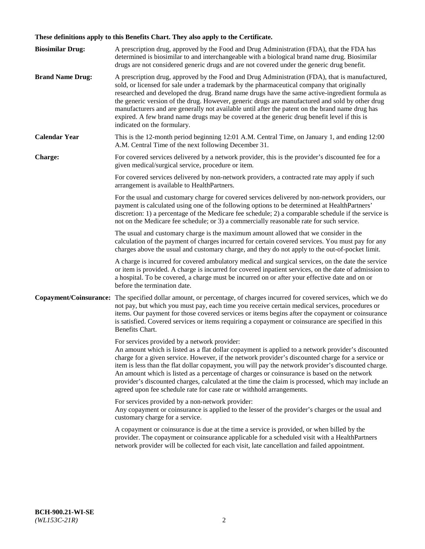# **These definitions apply to this Benefits Chart. They also apply to the Certificate.**

| <b>Biosimilar Drug:</b> | A prescription drug, approved by the Food and Drug Administration (FDA), that the FDA has<br>determined is biosimilar to and interchangeable with a biological brand name drug. Biosimilar<br>drugs are not considered generic drugs and are not covered under the generic drug benefit.                                                                                                                                                                                                                                                                                                                                                     |
|-------------------------|----------------------------------------------------------------------------------------------------------------------------------------------------------------------------------------------------------------------------------------------------------------------------------------------------------------------------------------------------------------------------------------------------------------------------------------------------------------------------------------------------------------------------------------------------------------------------------------------------------------------------------------------|
| <b>Brand Name Drug:</b> | A prescription drug, approved by the Food and Drug Administration (FDA), that is manufactured,<br>sold, or licensed for sale under a trademark by the pharmaceutical company that originally<br>researched and developed the drug. Brand name drugs have the same active-ingredient formula as<br>the generic version of the drug. However, generic drugs are manufactured and sold by other drug<br>manufacturers and are generally not available until after the patent on the brand name drug has<br>expired. A few brand name drugs may be covered at the generic drug benefit level if this is<br>indicated on the formulary.           |
| <b>Calendar Year</b>    | This is the 12-month period beginning 12:01 A.M. Central Time, on January 1, and ending 12:00<br>A.M. Central Time of the next following December 31.                                                                                                                                                                                                                                                                                                                                                                                                                                                                                        |
| <b>Charge:</b>          | For covered services delivered by a network provider, this is the provider's discounted fee for a<br>given medical/surgical service, procedure or item.                                                                                                                                                                                                                                                                                                                                                                                                                                                                                      |
|                         | For covered services delivered by non-network providers, a contracted rate may apply if such<br>arrangement is available to HealthPartners.                                                                                                                                                                                                                                                                                                                                                                                                                                                                                                  |
|                         | For the usual and customary charge for covered services delivered by non-network providers, our<br>payment is calculated using one of the following options to be determined at HealthPartners'<br>discretion: 1) a percentage of the Medicare fee schedule; 2) a comparable schedule if the service is<br>not on the Medicare fee schedule; or 3) a commercially reasonable rate for such service.                                                                                                                                                                                                                                          |
|                         | The usual and customary charge is the maximum amount allowed that we consider in the<br>calculation of the payment of charges incurred for certain covered services. You must pay for any<br>charges above the usual and customary charge, and they do not apply to the out-of-pocket limit.                                                                                                                                                                                                                                                                                                                                                 |
|                         | A charge is incurred for covered ambulatory medical and surgical services, on the date the service<br>or item is provided. A charge is incurred for covered inpatient services, on the date of admission to<br>a hospital. To be covered, a charge must be incurred on or after your effective date and on or<br>before the termination date.                                                                                                                                                                                                                                                                                                |
| Copayment/Coinsurance:  | The specified dollar amount, or percentage, of charges incurred for covered services, which we do<br>not pay, but which you must pay, each time you receive certain medical services, procedures or<br>items. Our payment for those covered services or items begins after the copayment or coinsurance<br>is satisfied. Covered services or items requiring a copayment or coinsurance are specified in this<br>Benefits Chart.                                                                                                                                                                                                             |
|                         | For services provided by a network provider:<br>An amount which is listed as a flat dollar copayment is applied to a network provider's discounted<br>charge for a given service. However, if the network provider's discounted charge for a service or<br>item is less than the flat dollar copayment, you will pay the network provider's discounted charge.<br>An amount which is listed as a percentage of charges or coinsurance is based on the network<br>provider's discounted charges, calculated at the time the claim is processed, which may include an<br>agreed upon fee schedule rate for case rate or withhold arrangements. |
|                         | For services provided by a non-network provider:<br>Any copayment or coinsurance is applied to the lesser of the provider's charges or the usual and<br>customary charge for a service.                                                                                                                                                                                                                                                                                                                                                                                                                                                      |
|                         | A copayment or coinsurance is due at the time a service is provided, or when billed by the<br>provider. The copayment or coinsurance applicable for a scheduled visit with a HealthPartners<br>network provider will be collected for each visit, late cancellation and failed appointment.                                                                                                                                                                                                                                                                                                                                                  |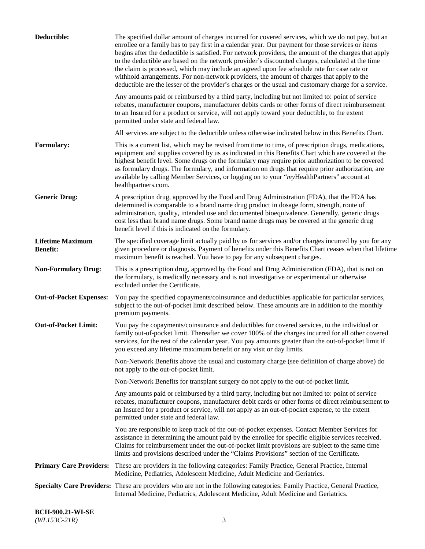| Deductible:                                | The specified dollar amount of charges incurred for covered services, which we do not pay, but an<br>enrollee or a family has to pay first in a calendar year. Our payment for those services or items<br>begins after the deductible is satisfied. For network providers, the amount of the charges that apply<br>to the deductible are based on the network provider's discounted charges, calculated at the time<br>the claim is processed, which may include an agreed upon fee schedule rate for case rate or<br>withhold arrangements. For non-network providers, the amount of charges that apply to the<br>deductible are the lesser of the provider's charges or the usual and customary charge for a service.<br>Any amounts paid or reimbursed by a third party, including but not limited to: point of service<br>rebates, manufacturer coupons, manufacturer debits cards or other forms of direct reimbursement<br>to an Insured for a product or service, will not apply toward your deductible, to the extent |
|--------------------------------------------|-------------------------------------------------------------------------------------------------------------------------------------------------------------------------------------------------------------------------------------------------------------------------------------------------------------------------------------------------------------------------------------------------------------------------------------------------------------------------------------------------------------------------------------------------------------------------------------------------------------------------------------------------------------------------------------------------------------------------------------------------------------------------------------------------------------------------------------------------------------------------------------------------------------------------------------------------------------------------------------------------------------------------------|
|                                            | permitted under state and federal law.                                                                                                                                                                                                                                                                                                                                                                                                                                                                                                                                                                                                                                                                                                                                                                                                                                                                                                                                                                                        |
|                                            | All services are subject to the deductible unless otherwise indicated below in this Benefits Chart.                                                                                                                                                                                                                                                                                                                                                                                                                                                                                                                                                                                                                                                                                                                                                                                                                                                                                                                           |
| Formulary:                                 | This is a current list, which may be revised from time to time, of prescription drugs, medications,<br>equipment and supplies covered by us as indicated in this Benefits Chart which are covered at the<br>highest benefit level. Some drugs on the formulary may require prior authorization to be covered<br>as formulary drugs. The formulary, and information on drugs that require prior authorization, are<br>available by calling Member Services, or logging on to your "myHealthPartners" account at<br>healthpartners.com.                                                                                                                                                                                                                                                                                                                                                                                                                                                                                         |
| <b>Generic Drug:</b>                       | A prescription drug, approved by the Food and Drug Administration (FDA), that the FDA has<br>determined is comparable to a brand name drug product in dosage form, strength, route of<br>administration, quality, intended use and documented bioequivalence. Generally, generic drugs<br>cost less than brand name drugs. Some brand name drugs may be covered at the generic drug<br>benefit level if this is indicated on the formulary.                                                                                                                                                                                                                                                                                                                                                                                                                                                                                                                                                                                   |
| <b>Lifetime Maximum</b><br><b>Benefit:</b> | The specified coverage limit actually paid by us for services and/or charges incurred by you for any<br>given procedure or diagnosis. Payment of benefits under this Benefits Chart ceases when that lifetime<br>maximum benefit is reached. You have to pay for any subsequent charges.                                                                                                                                                                                                                                                                                                                                                                                                                                                                                                                                                                                                                                                                                                                                      |
| <b>Non-Formulary Drug:</b>                 | This is a prescription drug, approved by the Food and Drug Administration (FDA), that is not on<br>the formulary, is medically necessary and is not investigative or experimental or otherwise<br>excluded under the Certificate.                                                                                                                                                                                                                                                                                                                                                                                                                                                                                                                                                                                                                                                                                                                                                                                             |
| <b>Out-of-Pocket Expenses:</b>             | You pay the specified copayments/coinsurance and deductibles applicable for particular services,<br>subject to the out-of-pocket limit described below. These amounts are in addition to the monthly<br>premium payments.                                                                                                                                                                                                                                                                                                                                                                                                                                                                                                                                                                                                                                                                                                                                                                                                     |
| <b>Out-of-Pocket Limit:</b>                | You pay the copayments/coinsurance and deductibles for covered services, to the individual or<br>family out-of-pocket limit. Thereafter we cover 100% of the charges incurred for all other covered<br>services, for the rest of the calendar year. You pay amounts greater than the out-of-pocket limit if<br>you exceed any lifetime maximum benefit or any visit or day limits.                                                                                                                                                                                                                                                                                                                                                                                                                                                                                                                                                                                                                                            |
|                                            | Non-Network Benefits above the usual and customary charge (see definition of charge above) do<br>not apply to the out-of-pocket limit.                                                                                                                                                                                                                                                                                                                                                                                                                                                                                                                                                                                                                                                                                                                                                                                                                                                                                        |
|                                            | Non-Network Benefits for transplant surgery do not apply to the out-of-pocket limit.                                                                                                                                                                                                                                                                                                                                                                                                                                                                                                                                                                                                                                                                                                                                                                                                                                                                                                                                          |
|                                            | Any amounts paid or reimbursed by a third party, including but not limited to: point of service<br>rebates, manufacturer coupons, manufacturer debit cards or other forms of direct reimbursement to<br>an Insured for a product or service, will not apply as an out-of-pocket expense, to the extent<br>permitted under state and federal law.                                                                                                                                                                                                                                                                                                                                                                                                                                                                                                                                                                                                                                                                              |
|                                            | You are responsible to keep track of the out-of-pocket expenses. Contact Member Services for<br>assistance in determining the amount paid by the enrollee for specific eligible services received.<br>Claims for reimbursement under the out-of-pocket limit provisions are subject to the same time<br>limits and provisions described under the "Claims Provisions" section of the Certificate.                                                                                                                                                                                                                                                                                                                                                                                                                                                                                                                                                                                                                             |
|                                            | Primary Care Providers: These are providers in the following categories: Family Practice, General Practice, Internal<br>Medicine, Pediatrics, Adolescent Medicine, Adult Medicine and Geriatrics.                                                                                                                                                                                                                                                                                                                                                                                                                                                                                                                                                                                                                                                                                                                                                                                                                             |
|                                            | Specialty Care Providers: These are providers who are not in the following categories: Family Practice, General Practice,<br>Internal Medicine, Pediatrics, Adolescent Medicine, Adult Medicine and Geriatrics.                                                                                                                                                                                                                                                                                                                                                                                                                                                                                                                                                                                                                                                                                                                                                                                                               |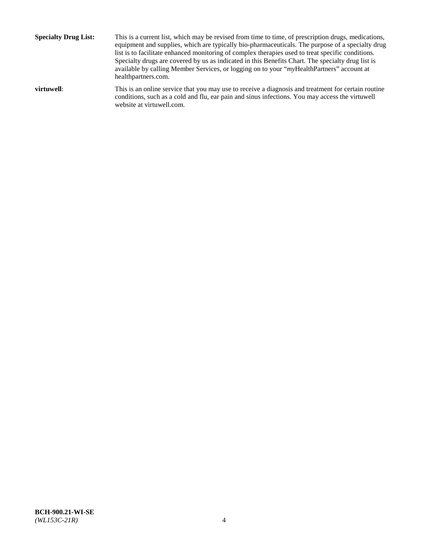**Specialty Drug List:** This is a current list, which may be revised from time to time, of prescription drugs, medications, equipment and supplies, which are typically bio-pharmaceuticals. The purpose of a specialty drug list is to facilitate enhanced monitoring of complex therapies used to treat specific conditions. Specialty drugs are covered by us as indicated in this Benefits Chart. The specialty drug list is available by calling Member Services, or logging on to your "*my*HealthPartners" account at [healthpartners.com.](http://www.healthpartners.com/) **virtuwell:** This is an online service that you may use to receive a diagnosis and treatment for certain routine

website at [virtuwell.com.](http://www.virtuwell.com/)

conditions, such as a cold and flu, ear pain and sinus infections. You may access the virtuwell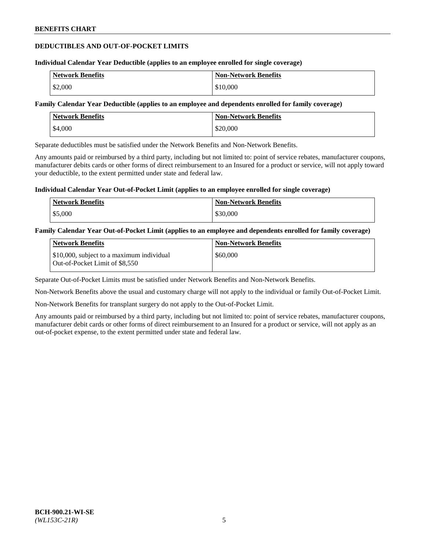### **DEDUCTIBLES AND OUT-OF-POCKET LIMITS**

#### **Individual Calendar Year Deductible (applies to an employee enrolled for single coverage)**

| <b>Network Benefits</b> | <b>Non-Network Benefits</b> |
|-------------------------|-----------------------------|
| \$2,000                 | \$10,000                    |

#### **Family Calendar Year Deductible (applies to an employee and dependents enrolled for family coverage)**

| <b>Network Benefits</b> | <b>Non-Network Benefits</b> |
|-------------------------|-----------------------------|
| \$4,000                 | \$20,000                    |

Separate deductibles must be satisfied under the Network Benefits and Non-Network Benefits.

Any amounts paid or reimbursed by a third party, including but not limited to: point of service rebates, manufacturer coupons, manufacturer debits cards or other forms of direct reimbursement to an Insured for a product or service, will not apply toward your deductible, to the extent permitted under state and federal law.

#### **Individual Calendar Year Out-of-Pocket Limit (applies to an employee enrolled for single coverage)**

| <b>Network Benefits</b> | <b>Non-Network Benefits</b> |
|-------------------------|-----------------------------|
| \$5,000                 | \$30,000                    |

#### **Family Calendar Year Out-of-Pocket Limit (applies to an employee and dependents enrolled for family coverage)**

| Network Benefits                                                            | <b>Non-Network Benefits</b> |
|-----------------------------------------------------------------------------|-----------------------------|
| \$10,000, subject to a maximum individual<br>Out-of-Pocket Limit of \$8,550 | \$60,000                    |

Separate Out-of-Pocket Limits must be satisfied under Network Benefits and Non-Network Benefits.

Non-Network Benefits above the usual and customary charge will not apply to the individual or family Out-of-Pocket Limit.

Non-Network Benefits for transplant surgery do not apply to the Out-of-Pocket Limit.

Any amounts paid or reimbursed by a third party, including but not limited to: point of service rebates, manufacturer coupons, manufacturer debit cards or other forms of direct reimbursement to an Insured for a product or service, will not apply as an out-of-pocket expense, to the extent permitted under state and federal law.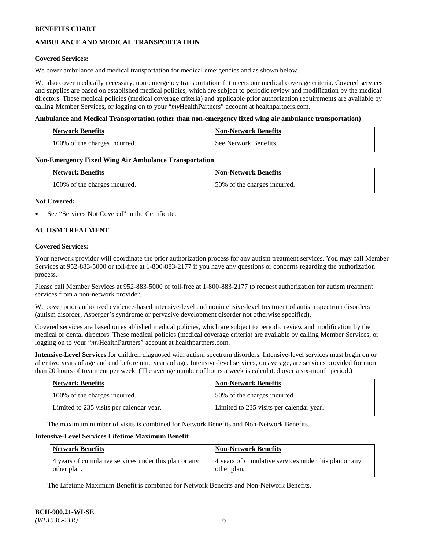# **AMBULANCE AND MEDICAL TRANSPORTATION**

#### **Covered Services:**

We cover ambulance and medical transportation for medical emergencies and as shown below.

We also cover medically necessary, non-emergency transportation if it meets our medical coverage criteria. Covered services and supplies are based on established medical policies, which are subject to periodic review and modification by the medical directors. These medical policies (medical coverage criteria) and applicable prior authorization requirements are available by calling Member Services, or logging on to your "*my*HealthPartners" account a[t healthpartners.com.](https://www.healthpartners.com/hp/index.html)

#### **Ambulance and Medical Transportation (other than non-emergency fixed wing air ambulance transportation)**

| <b>Network Benefits</b>       | <b>Non-Network Benefits</b> |
|-------------------------------|-----------------------------|
| 100% of the charges incurred. | See Network Benefits.       |

#### **Non-Emergency Fixed Wing Air Ambulance Transportation**

| <b>Network Benefits</b>       | <b>Non-Network Benefits</b>  |
|-------------------------------|------------------------------|
| 100% of the charges incurred. | 50% of the charges incurred. |

#### **Not Covered:**

See "Services Not Covered" in the Certificate.

### **AUTISM TREATMENT**

#### **Covered Services:**

Your network provider will coordinate the prior authorization process for any autism treatment services. You may call Member Services at 952-883-5000 or toll-free at 1-800-883-2177 if you have any questions or concerns regarding the authorization process.

Please call Member Services at 952-883-5000 or toll-free at 1-800-883-2177 to request authorization for autism treatment services from a non-network provider.

We cover prior authorized evidence-based intensive-level and nonintensive-level treatment of autism spectrum disorders (autism disorder, Asperger's syndrome or pervasive development disorder not otherwise specified).

Covered services are based on established medical policies, which are subject to periodic review and modification by the medical or dental directors. These medical policies (medical coverage criteria) are available by calling Member Services, or logging on to your "*my*HealthPartners" account at [healthpartners.com.](https://www.healthpartners.com/hp/index.html)

**Intensive-Level Services** for children diagnosed with autism spectrum disorders. Intensive-level services must begin on or after two years of age and end before nine years of age. Intensive-level services, on average, are services provided for more than 20 hours of treatment per week. (The average number of hours a week is calculated over a six-month period.)

| <b>Network Benefits</b>                  | <b>Non-Network Benefits</b>              |
|------------------------------------------|------------------------------------------|
| 100% of the charges incurred.            | 50% of the charges incurred.             |
| Limited to 235 visits per calendar year. | Limited to 235 visits per calendar year. |

The maximum number of visits is combined for Network Benefits and Non-Network Benefits.

### **Intensive-Level Services Lifetime Maximum Benefit**

| <b>Network Benefits</b>                                              | <b>Non-Network Benefits</b>                                          |
|----------------------------------------------------------------------|----------------------------------------------------------------------|
| 4 years of cumulative services under this plan or any<br>other plan. | 4 years of cumulative services under this plan or any<br>other plan. |

The Lifetime Maximum Benefit is combined for Network Benefits and Non-Network Benefits.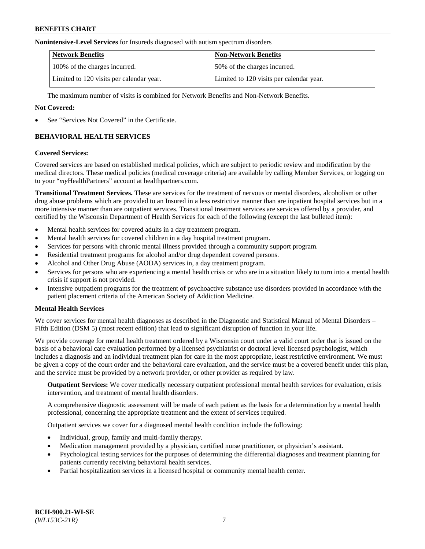#### **Nonintensive-Level Services** for Insureds diagnosed with autism spectrum disorders

| <b>Network Benefits</b>                  | <b>Non-Network Benefits</b>              |
|------------------------------------------|------------------------------------------|
| 100% of the charges incurred.            | 50% of the charges incurred.             |
| Limited to 120 visits per calendar year. | Limited to 120 visits per calendar year. |

The maximum number of visits is combined for Network Benefits and Non-Network Benefits.

#### **Not Covered:**

See "Services Not Covered" in the Certificate.

# **BEHAVIORAL HEALTH SERVICES**

#### **Covered Services:**

Covered services are based on established medical policies, which are subject to periodic review and modification by the medical directors. These medical policies (medical coverage criteria) are available by calling Member Services, or logging on to your "*my*HealthPartners" account at [healthpartners.com.](https://www.healthpartners.com/hp/index.html)

**Transitional Treatment Services.** These are services for the treatment of nervous or mental disorders, alcoholism or other drug abuse problems which are provided to an Insured in a less restrictive manner than are inpatient hospital services but in a more intensive manner than are outpatient services. Transitional treatment services are services offered by a provider, and certified by the Wisconsin Department of Health Services for each of the following (except the last bulleted item):

- Mental health services for covered adults in a day treatment program.
- Mental health services for covered children in a day hospital treatment program.
- Services for persons with chronic mental illness provided through a community support program.
- Residential treatment programs for alcohol and/or drug dependent covered persons.
- Alcohol and Other Drug Abuse (AODA) services in, a day treatment program.
- Services for persons who are experiencing a mental health crisis or who are in a situation likely to turn into a mental health crisis if support is not provided.
- Intensive outpatient programs for the treatment of psychoactive substance use disorders provided in accordance with the patient placement criteria of the American Society of Addiction Medicine.

### **Mental Health Services**

We cover services for mental health diagnoses as described in the Diagnostic and Statistical Manual of Mental Disorders – Fifth Edition (DSM 5) (most recent edition) that lead to significant disruption of function in your life.

We provide coverage for mental health treatment ordered by a Wisconsin court under a valid court order that is issued on the basis of a behavioral care evaluation performed by a licensed psychiatrist or doctoral level licensed psychologist, which includes a diagnosis and an individual treatment plan for care in the most appropriate, least restrictive environment. We must be given a copy of the court order and the behavioral care evaluation, and the service must be a covered benefit under this plan, and the service must be provided by a network provider, or other provider as required by law.

**Outpatient Services:** We cover medically necessary outpatient professional mental health services for evaluation, crisis intervention, and treatment of mental health disorders.

A comprehensive diagnostic assessment will be made of each patient as the basis for a determination by a mental health professional, concerning the appropriate treatment and the extent of services required.

Outpatient services we cover for a diagnosed mental health condition include the following:

- Individual, group, family and multi-family therapy.
- Medication management provided by a physician, certified nurse practitioner, or physician's assistant.
- Psychological testing services for the purposes of determining the differential diagnoses and treatment planning for patients currently receiving behavioral health services.
- Partial hospitalization services in a licensed hospital or community mental health center.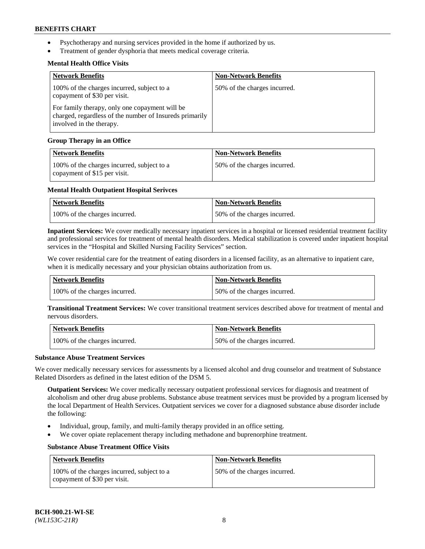- Psychotherapy and nursing services provided in the home if authorized by us.
- Treatment of gender dysphoria that meets medical coverage criteria.

### **Mental Health Office Visits**

| <b>Network Benefits</b>                                                                                                               | <b>Non-Network Benefits</b>  |
|---------------------------------------------------------------------------------------------------------------------------------------|------------------------------|
| 100% of the charges incurred, subject to a<br>copayment of \$30 per visit.                                                            | 50% of the charges incurred. |
| For family therapy, only one copayment will be<br>charged, regardless of the number of Insureds primarily<br>involved in the therapy. |                              |

### **Group Therapy in an Office**

| <b>Network Benefits</b>                                                    | <b>Non-Network Benefits</b>  |
|----------------------------------------------------------------------------|------------------------------|
| 100% of the charges incurred, subject to a<br>copayment of \$15 per visit. | 50% of the charges incurred. |

#### **Mental Health Outpatient Hospital Serivces**

| Network Benefits              | <b>Non-Network Benefits</b>  |
|-------------------------------|------------------------------|
| 100% of the charges incurred. | 50% of the charges incurred. |

**Inpatient Services:** We cover medically necessary inpatient services in a hospital or licensed residential treatment facility and professional services for treatment of mental health disorders. Medical stabilization is covered under inpatient hospital services in the "Hospital and Skilled Nursing Facility Services" section.

We cover residential care for the treatment of eating disorders in a licensed facility, as an alternative to inpatient care, when it is medically necessary and your physician obtains authorization from us.

| Network Benefits              | <b>Non-Network Benefits</b>  |
|-------------------------------|------------------------------|
| 100% of the charges incurred. | 50% of the charges incurred. |

**Transitional Treatment Services:** We cover transitional treatment services described above for treatment of mental and nervous disorders.

| Network Benefits              | Non-Network Benefits         |
|-------------------------------|------------------------------|
| 100% of the charges incurred. | 50% of the charges incurred. |

#### **Substance Abuse Treatment Services**

We cover medically necessary services for assessments by a licensed alcohol and drug counselor and treatment of Substance Related Disorders as defined in the latest edition of the DSM 5.

**Outpatient Services:** We cover medically necessary outpatient professional services for diagnosis and treatment of alcoholism and other drug abuse problems. Substance abuse treatment services must be provided by a program licensed by the local Department of Health Services. Outpatient services we cover for a diagnosed substance abuse disorder include the following:

- Individual, group, family, and multi-family therapy provided in an office setting.
- We cover opiate replacement therapy including methadone and buprenorphine treatment.

### **Substance Abuse Treatment Office Visits**

| Network Benefits                                                           | <b>Non-Network Benefits</b>  |
|----------------------------------------------------------------------------|------------------------------|
| 100% of the charges incurred, subject to a<br>copayment of \$30 per visit. | 50% of the charges incurred. |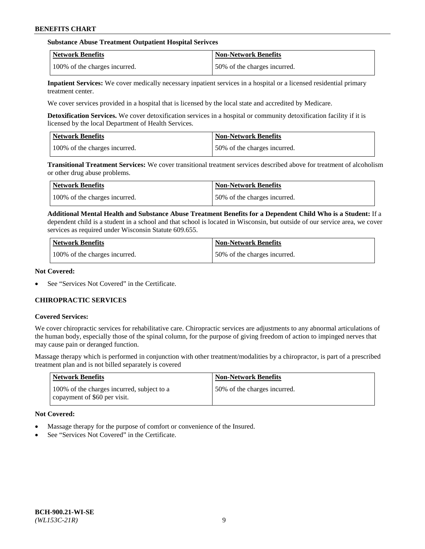#### **Substance Abuse Treatment Outpatient Hospital Serivces**

| Network Benefits              | <b>Non-Network Benefits</b>  |
|-------------------------------|------------------------------|
| 100% of the charges incurred. | 50% of the charges incurred. |

**Inpatient Services:** We cover medically necessary inpatient services in a hospital or a licensed residential primary treatment center.

We cover services provided in a hospital that is licensed by the local state and accredited by Medicare.

**Detoxification Services.** We cover detoxification services in a hospital or community detoxification facility if it is licensed by the local Department of Health Services.

| <b>Network Benefits</b>       | <b>Non-Network Benefits</b>  |
|-------------------------------|------------------------------|
| 100% of the charges incurred. | 50% of the charges incurred. |

**Transitional Treatment Services:** We cover transitional treatment services described above for treatment of alcoholism or other drug abuse problems.

| Network Benefits              | <b>Non-Network Benefits</b>  |
|-------------------------------|------------------------------|
| 100% of the charges incurred. | 50% of the charges incurred. |

**Additional Mental Health and Substance Abuse Treatment Benefits for a Dependent Child Who is a Student:** If a dependent child is a student in a school and that school is located in Wisconsin, but outside of our service area, we cover services as required under Wisconsin Statute 609.655.

| <b>Network Benefits</b>       | <b>Non-Network Benefits</b>  |
|-------------------------------|------------------------------|
| 100% of the charges incurred. | 50% of the charges incurred. |

#### **Not Covered:**

See "Services Not Covered" in the Certificate.

### **CHIROPRACTIC SERVICES**

#### **Covered Services:**

We cover chiropractic services for rehabilitative care. Chiropractic services are adjustments to any abnormal articulations of the human body, especially those of the spinal column, for the purpose of giving freedom of action to impinged nerves that may cause pain or deranged function.

Massage therapy which is performed in conjunction with other treatment/modalities by a chiropractor, is part of a prescribed treatment plan and is not billed separately is covered

| <b>Network Benefits</b>                                                    | <b>Non-Network Benefits</b>  |
|----------------------------------------------------------------------------|------------------------------|
| 100% of the charges incurred, subject to a<br>copayment of \$60 per visit. | 50% of the charges incurred. |

### **Not Covered:**

- Massage therapy for the purpose of comfort or convenience of the Insured.
- See "Services Not Covered" in the Certificate.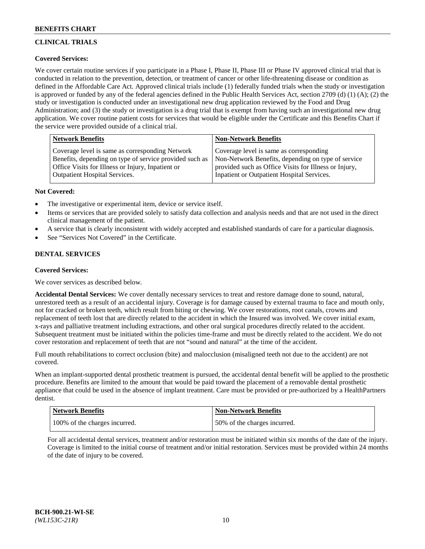# **CLINICAL TRIALS**

### **Covered Services:**

We cover certain routine services if you participate in a Phase I, Phase II, Phase III or Phase IV approved clinical trial that is conducted in relation to the prevention, detection, or treatment of cancer or other life-threatening disease or condition as defined in the Affordable Care Act. Approved clinical trials include (1) federally funded trials when the study or investigation is approved or funded by any of the federal agencies defined in the Public Health Services Act, section 2709 (d) (1) (A); (2) the study or investigation is conducted under an investigational new drug application reviewed by the Food and Drug Administration; and (3) the study or investigation is a drug trial that is exempt from having such an investigational new drug application. We cover routine patient costs for services that would be eligible under the Certificate and this Benefits Chart if the service were provided outside of a clinical trial.

| Network Benefits                                        | <b>Non-Network Benefits</b>                           |
|---------------------------------------------------------|-------------------------------------------------------|
| Coverage level is same as corresponding Network         | Coverage level is same as corresponding               |
| Benefits, depending on type of service provided such as | Non-Network Benefits, depending on type of service    |
| Office Visits for Illness or Injury, Inpatient or       | provided such as Office Visits for Illness or Injury, |
| Outpatient Hospital Services.                           | Inpatient or Outpatient Hospital Services.            |

### **Not Covered:**

- The investigative or experimental item, device or service itself.
- Items or services that are provided solely to satisfy data collection and analysis needs and that are not used in the direct clinical management of the patient.
- A service that is clearly inconsistent with widely accepted and established standards of care for a particular diagnosis.
- See "Services Not Covered" in the Certificate.

### **DENTAL SERVICES**

### **Covered Services:**

We cover services as described below.

**Accidental Dental Services:** We cover dentally necessary services to treat and restore damage done to sound, natural, unrestored teeth as a result of an accidental injury. Coverage is for damage caused by external trauma to face and mouth only, not for cracked or broken teeth, which result from biting or chewing. We cover restorations, root canals, crowns and replacement of teeth lost that are directly related to the accident in which the Insured was involved. We cover initial exam, x-rays and palliative treatment including extractions, and other oral surgical procedures directly related to the accident. Subsequent treatment must be initiated within the policies time-frame and must be directly related to the accident. We do not cover restoration and replacement of teeth that are not "sound and natural" at the time of the accident.

Full mouth rehabilitations to correct occlusion (bite) and malocclusion (misaligned teeth not due to the accident) are not covered.

When an implant-supported dental prosthetic treatment is pursued, the accidental dental benefit will be applied to the prosthetic procedure. Benefits are limited to the amount that would be paid toward the placement of a removable dental prosthetic appliance that could be used in the absence of implant treatment. Care must be provided or pre-authorized by a HealthPartners dentist.

| Network Benefits              | <b>Non-Network Benefits</b>  |
|-------------------------------|------------------------------|
| 100% of the charges incurred. | 50% of the charges incurred. |

For all accidental dental services, treatment and/or restoration must be initiated within six months of the date of the injury. Coverage is limited to the initial course of treatment and/or initial restoration. Services must be provided within 24 months of the date of injury to be covered.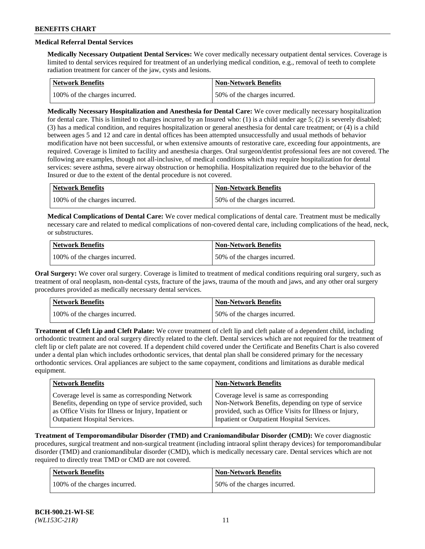# **Medical Referral Dental Services**

**Medically Necessary Outpatient Dental Services:** We cover medically necessary outpatient dental services. Coverage is limited to dental services required for treatment of an underlying medical condition, e.g., removal of teeth to complete radiation treatment for cancer of the jaw, cysts and lesions.

| <b>Network Benefits</b>       | Non-Network Benefits         |
|-------------------------------|------------------------------|
| 100% of the charges incurred. | 50% of the charges incurred. |

**Medically Necessary Hospitalization and Anesthesia for Dental Care:** We cover medically necessary hospitalization for dental care. This is limited to charges incurred by an Insured who: (1) is a child under age  $5$ ; (2) is severely disabled; (3) has a medical condition, and requires hospitalization or general anesthesia for dental care treatment; or (4) is a child between ages 5 and 12 and care in dental offices has been attempted unsuccessfully and usual methods of behavior modification have not been successful, or when extensive amounts of restorative care, exceeding four appointments, are required. Coverage is limited to facility and anesthesia charges. Oral surgeon/dentist professional fees are not covered. The following are examples, though not all-inclusive, of medical conditions which may require hospitalization for dental services: severe asthma, severe airway obstruction or hemophilia. Hospitalization required due to the behavior of the Insured or due to the extent of the dental procedure is not covered.

| Network Benefits              | <b>Non-Network Benefits</b>  |
|-------------------------------|------------------------------|
| 100% of the charges incurred. | 50% of the charges incurred. |

**Medical Complications of Dental Care:** We cover medical complications of dental care. Treatment must be medically necessary care and related to medical complications of non-covered dental care, including complications of the head, neck, or substructures.

| Network Benefits              | Non-Network Benefits         |
|-------------------------------|------------------------------|
| 100% of the charges incurred. | 50% of the charges incurred. |

**Oral Surgery:** We cover oral surgery. Coverage is limited to treatment of medical conditions requiring oral surgery, such as treatment of oral neoplasm, non-dental cysts, fracture of the jaws, trauma of the mouth and jaws, and any other oral surgery procedures provided as medically necessary dental services.

| Network Benefits              | <b>Non-Network Benefits</b>  |
|-------------------------------|------------------------------|
| 100% of the charges incurred. | 50% of the charges incurred. |

**Treatment of Cleft Lip and Cleft Palate:** We cover treatment of cleft lip and cleft palate of a dependent child, including orthodontic treatment and oral surgery directly related to the cleft. Dental services which are not required for the treatment of cleft lip or cleft palate are not covered. If a dependent child covered under the Certificate and Benefits Chart is also covered under a dental plan which includes orthodontic services, that dental plan shall be considered primary for the necessary orthodontic services. Oral appliances are subject to the same copayment, conditions and limitations as durable medical equipment.

| <b>Network Benefits</b>                               | <b>Non-Network Benefits</b>                            |
|-------------------------------------------------------|--------------------------------------------------------|
| Coverage level is same as corresponding Network       | Coverage level is same as corresponding                |
| Benefits, depending on type of service provided, such | Non-Network Benefits, depending on type of service     |
| as Office Visits for Illness or Injury, Inpatient or  | provided, such as Office Visits for Illness or Injury, |
| Outpatient Hospital Services.                         | Inpatient or Outpatient Hospital Services.             |

**Treatment of Temporomandibular Disorder (TMD) and Craniomandibular Disorder (CMD):** We cover diagnostic procedures, surgical treatment and non-surgical treatment (including intraoral splint therapy devices) for temporomandibular disorder (TMD) and craniomandibular disorder (CMD), which is medically necessary care. Dental services which are not required to directly treat TMD or CMD are not covered.

| <b>Network Benefits</b>       | <b>Non-Network Benefits</b>  |
|-------------------------------|------------------------------|
| 100% of the charges incurred. | 50% of the charges incurred. |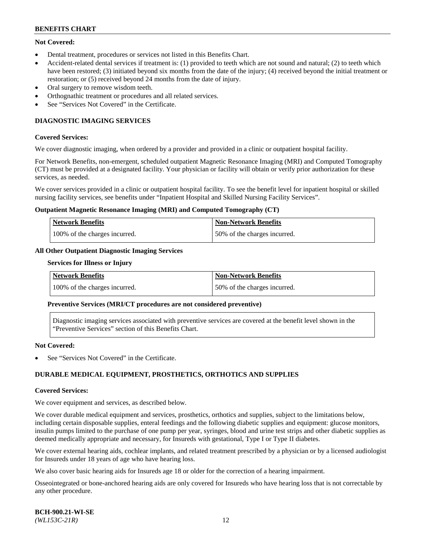### **Not Covered:**

- Dental treatment, procedures or services not listed in this Benefits Chart.
- Accident-related dental services if treatment is: (1) provided to teeth which are not sound and natural; (2) to teeth which have been restored; (3) initiated beyond six months from the date of the injury; (4) received beyond the initial treatment or restoration; or (5) received beyond 24 months from the date of injury.
- Oral surgery to remove wisdom teeth.
- Orthognathic treatment or procedures and all related services.
- See "Services Not Covered" in the Certificate.

### **DIAGNOSTIC IMAGING SERVICES**

#### **Covered Services:**

We cover diagnostic imaging, when ordered by a provider and provided in a clinic or outpatient hospital facility.

For Network Benefits, non-emergent, scheduled outpatient Magnetic Resonance Imaging (MRI) and Computed Tomography (CT) must be provided at a designated facility. Your physician or facility will obtain or verify prior authorization for these services, as needed.

We cover services provided in a clinic or outpatient hospital facility. To see the benefit level for inpatient hospital or skilled nursing facility services, see benefits under "Inpatient Hospital and Skilled Nursing Facility Services".

#### **Outpatient Magnetic Resonance Imaging (MRI) and Computed Tomography (CT)**

| <b>Network Benefits</b>       | <b>Non-Network Benefits</b>  |
|-------------------------------|------------------------------|
| 100% of the charges incurred. | 50% of the charges incurred. |

# **All Other Outpatient Diagnostic Imaging Services**

#### **Services for Illness or Injury**

| <b>Network Benefits</b>       | Non-Network Benefits         |
|-------------------------------|------------------------------|
| 100% of the charges incurred. | 50% of the charges incurred. |

#### **Preventive Services (MRI/CT procedures are not considered preventive)**

Diagnostic imaging services associated with preventive services are covered at the benefit level shown in the "Preventive Services" section of this Benefits Chart.

#### **Not Covered:**

See "Services Not Covered" in the Certificate.

### **DURABLE MEDICAL EQUIPMENT, PROSTHETICS, ORTHOTICS AND SUPPLIES**

#### **Covered Services:**

We cover equipment and services, as described below.

We cover durable medical equipment and services, prosthetics, orthotics and supplies, subject to the limitations below, including certain disposable supplies, enteral feedings and the following diabetic supplies and equipment: glucose monitors, insulin pumps limited to the purchase of one pump per year, syringes, blood and urine test strips and other diabetic supplies as deemed medically appropriate and necessary, for Insureds with gestational, Type I or Type II diabetes.

We cover external hearing aids, cochlear implants, and related treatment prescribed by a physician or by a licensed audiologist for Insureds under 18 years of age who have hearing loss.

We also cover basic hearing aids for Insureds age 18 or older for the correction of a hearing impairment.

Osseointegrated or bone-anchored hearing aids are only covered for Insureds who have hearing loss that is not correctable by any other procedure.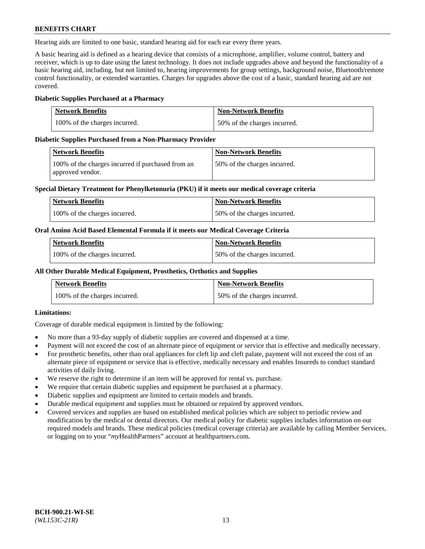Hearing aids are limited to one basic, standard hearing aid for each ear every three years.

A basic hearing aid is defined as a hearing device that consists of a microphone, amplifier, volume control, battery and receiver, which is up to date using the latest technology. It does not include upgrades above and beyond the functionality of a basic hearing aid, including, but not limited to, hearing improvements for group settings, background noise, Bluetooth/remote control functionality, or extended warranties. Charges for upgrades above the cost of a basic, standard hearing aid are not covered.

### **Diabetic Supplies Purchased at a Pharmacy**

| <b>Network Benefits</b>       | <b>Non-Network Benefits</b>  |
|-------------------------------|------------------------------|
| 100% of the charges incurred. | 50% of the charges incurred. |

#### **Diabetic Supplies Purchased from a Non-Pharmacy Provider**

| Network Benefits                                                      | <b>Non-Network Benefits</b>  |
|-----------------------------------------------------------------------|------------------------------|
| 100% of the charges incurred if purchased from an<br>approved vendor. | 50% of the charges incurred. |

#### **Special Dietary Treatment for Phenylketonuria (PKU) if it meets our medical coverage criteria**

| Network Benefits              | <b>Non-Network Benefits</b>  |
|-------------------------------|------------------------------|
| 100% of the charges incurred. | 50% of the charges incurred. |

#### **Oral Amino Acid Based Elemental Formula if it meets our Medical Coverage Criteria**

| <b>Network Benefits</b>       | <b>Non-Network Benefits</b>  |
|-------------------------------|------------------------------|
| 100% of the charges incurred. | 50% of the charges incurred. |

#### **All Other Durable Medical Equipment, Prosthetics, Orthotics and Supplies**

| <b>Network Benefits</b>       | <b>Non-Network Benefits</b>  |
|-------------------------------|------------------------------|
| 100% of the charges incurred. | 50% of the charges incurred. |

### **Limitations:**

Coverage of durable medical equipment is limited by the following:

- No more than a 93-day supply of diabetic supplies are covered and dispensed at a time.
- Payment will not exceed the cost of an alternate piece of equipment or service that is effective and medically necessary.
- For prosthetic benefits, other than oral appliances for cleft lip and cleft palate, payment will not exceed the cost of an alternate piece of equipment or service that is effective, medically necessary and enables Insureds to conduct standard activities of daily living.
- We reserve the right to determine if an item will be approved for rental vs. purchase.
- We require that certain diabetic supplies and equipment be purchased at a pharmacy.
- Diabetic supplies and equipment are limited to certain models and brands.
- Durable medical equipment and supplies must be obtained or repaired by approved vendors.
- Covered services and supplies are based on established medical policies which are subject to periodic review and modification by the medical or dental directors. Our medical policy for diabetic supplies includes information on our required models and brands. These medical policies (medical coverage criteria) are available by calling Member Services, or logging on to your "*my*HealthPartners" account a[t healthpartners.com.](https://www.healthpartners.com/hp/index.html)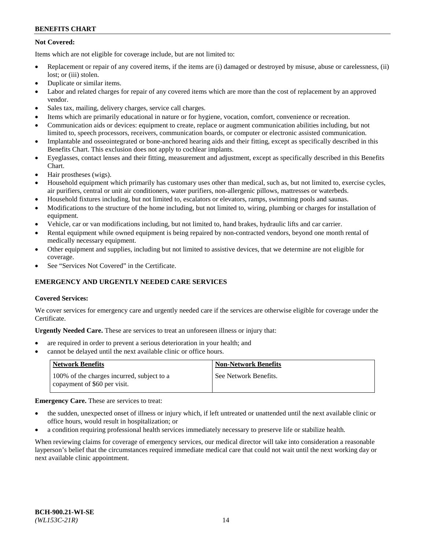## **Not Covered:**

Items which are not eligible for coverage include, but are not limited to:

- Replacement or repair of any covered items, if the items are (i) damaged or destroyed by misuse, abuse or carelessness, (ii) lost; or (iii) stolen.
- Duplicate or similar items.
- Labor and related charges for repair of any covered items which are more than the cost of replacement by an approved vendor.
- Sales tax, mailing, delivery charges, service call charges.
- Items which are primarily educational in nature or for hygiene, vocation, comfort, convenience or recreation.
- Communication aids or devices: equipment to create, replace or augment communication abilities including, but not limited to, speech processors, receivers, communication boards, or computer or electronic assisted communication.
- Implantable and osseointegrated or bone-anchored hearing aids and their fitting, except as specifically described in this Benefits Chart. This exclusion does not apply to cochlear implants.
- Eyeglasses, contact lenses and their fitting, measurement and adjustment, except as specifically described in this Benefits Chart.
- Hair prostheses (wigs).
- Household equipment which primarily has customary uses other than medical, such as, but not limited to, exercise cycles, air purifiers, central or unit air conditioners, water purifiers, non-allergenic pillows, mattresses or waterbeds.
- Household fixtures including, but not limited to, escalators or elevators, ramps, swimming pools and saunas.
- Modifications to the structure of the home including, but not limited to, wiring, plumbing or charges for installation of equipment.
- Vehicle, car or van modifications including, but not limited to, hand brakes, hydraulic lifts and car carrier.
- Rental equipment while owned equipment is being repaired by non-contracted vendors, beyond one month rental of medically necessary equipment.
- Other equipment and supplies, including but not limited to assistive devices, that we determine are not eligible for coverage.
- See "Services Not Covered" in the Certificate.

# **EMERGENCY AND URGENTLY NEEDED CARE SERVICES**

### **Covered Services:**

We cover services for emergency care and urgently needed care if the services are otherwise eligible for coverage under the Certificate.

**Urgently Needed Care.** These are services to treat an unforeseen illness or injury that:

- are required in order to prevent a serious deterioration in your health; and
- cannot be delayed until the next available clinic or office hours.

| <b>Network Benefits</b>                                                    | <b>Non-Network Benefits</b> |
|----------------------------------------------------------------------------|-----------------------------|
| 100% of the charges incurred, subject to a<br>copayment of \$60 per visit. | See Network Benefits.       |

#### **Emergency Care.** These are services to treat:

- the sudden, unexpected onset of illness or injury which, if left untreated or unattended until the next available clinic or office hours, would result in hospitalization; or
- a condition requiring professional health services immediately necessary to preserve life or stabilize health.

When reviewing claims for coverage of emergency services, our medical director will take into consideration a reasonable layperson's belief that the circumstances required immediate medical care that could not wait until the next working day or next available clinic appointment.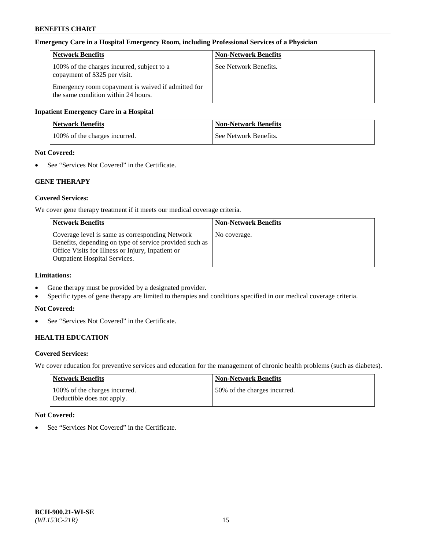#### **Emergency Care in a Hospital Emergency Room, including Professional Services of a Physician**

| <b>Network Benefits</b>                                                                   | <b>Non-Network Benefits</b> |
|-------------------------------------------------------------------------------------------|-----------------------------|
| 100% of the charges incurred, subject to a<br>copayment of \$325 per visit.               | See Network Benefits.       |
| Emergency room copayment is waived if admitted for<br>the same condition within 24 hours. |                             |

#### **Inpatient Emergency Care in a Hospital**

| <b>Network Benefits</b>       | <b>Non-Network Benefits</b> |
|-------------------------------|-----------------------------|
| 100% of the charges incurred. | See Network Benefits.       |

# **Not Covered:**

• See "Services Not Covered" in the Certificate.

### **GENE THERAPY**

#### **Covered Services:**

We cover gene therapy treatment if it meets our medical coverage criteria.

| <b>Non-Network Benefits</b> |
|-----------------------------|
| No coverage.                |
|                             |
|                             |
|                             |
|                             |

### **Limitations:**

- Gene therapy must be provided by a designated provider.
- Specific types of gene therapy are limited to therapies and conditions specified in our medical coverage criteria.

#### **Not Covered:**

• See "Services Not Covered" in the Certificate.

### **HEALTH EDUCATION**

#### **Covered Services:**

We cover education for preventive services and education for the management of chronic health problems (such as diabetes).

| <b>Network Benefits</b>                                     | Non-Network Benefits         |
|-------------------------------------------------------------|------------------------------|
| 100% of the charges incurred.<br>Deductible does not apply. | 50% of the charges incurred. |

#### **Not Covered:**

• See "Services Not Covered" in the Certificate.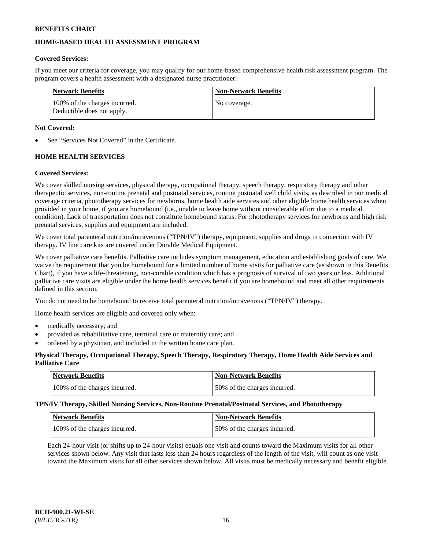# **HOME-BASED HEALTH ASSESSMENT PROGRAM**

### **Covered Services:**

If you meet our criteria for coverage, you may qualify for our home-based comprehensive health risk assessment program. The program covers a health assessment with a designated nurse practitioner.

| <b>Network Benefits</b>                                     | <b>Non-Network Benefits</b> |
|-------------------------------------------------------------|-----------------------------|
| 100% of the charges incurred.<br>Deductible does not apply. | No coverage.                |

### **Not Covered:**

See "Services Not Covered" in the Certificate.

# **HOME HEALTH SERVICES**

# **Covered Services:**

We cover skilled nursing services, physical therapy, occupational therapy, speech therapy, respiratory therapy and other therapeutic services, non-routine prenatal and postnatal services, routine postnatal well child visits, as described in our medical coverage criteria, phototherapy services for newborns, home health aide services and other eligible home health services when provided in your home, if you are homebound (i.e., unable to leave home without considerable effort due to a medical condition). Lack of transportation does not constitute homebound status. For phototherapy services for newborns and high risk prenatal services, supplies and equipment are included.

We cover total parenteral nutrition/intravenous ("TPN/IV") therapy, equipment, supplies and drugs in connection with IV therapy. IV line care kits are covered under Durable Medical Equipment.

We cover palliative care benefits. Palliative care includes symptom management, education and establishing goals of care. We waive the requirement that you be homebound for a limited number of home visits for palliative care (as shown in this Benefits Chart), if you have a life-threatening, non-curable condition which has a prognosis of survival of two years or less. Additional palliative care visits are eligible under the home health services benefit if you are homebound and meet all other requirements defined in this section.

You do not need to be homebound to receive total parenteral nutrition/intravenous ("TPN/IV") therapy.

Home health services are eligible and covered only when:

- medically necessary; and
- provided as rehabilitative care, terminal care or maternity care; and
- ordered by a physician, and included in the written home care plan.

### **Physical Therapy, Occupational Therapy, Speech Therapy, Respiratory Therapy, Home Health Aide Services and Palliative Care**

| Network Benefits              | <b>Non-Network Benefits</b>  |
|-------------------------------|------------------------------|
| 100% of the charges incurred. | 50% of the charges incurred. |

**TPN/IV Therapy, Skilled Nursing Services, Non-Routine Prenatal/Postnatal Services, and Phototherapy**

| Network Benefits              | <b>Non-Network Benefits</b>  |
|-------------------------------|------------------------------|
| 100% of the charges incurred. | 50% of the charges incurred. |

Each 24-hour visit (or shifts up to 24-hour visits) equals one visit and counts toward the Maximum visits for all other services shown below. Any visit that lasts less than 24 hours regardless of the length of the visit, will count as one visit toward the Maximum visits for all other services shown below. All visits must be medically necessary and benefit eligible.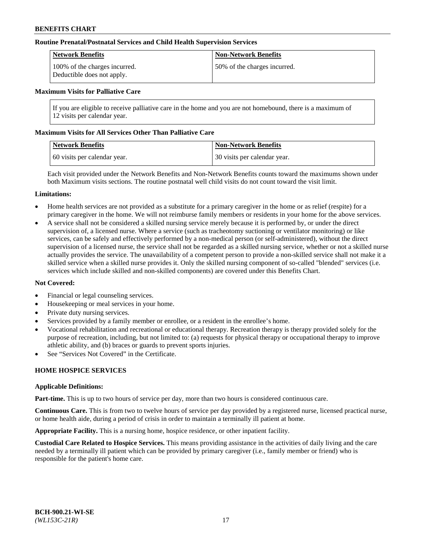#### **Routine Prenatal/Postnatal Services and Child Health Supervision Services**

| Network Benefits                                            | <b>Non-Network Benefits</b>  |
|-------------------------------------------------------------|------------------------------|
| 100% of the charges incurred.<br>Deductible does not apply. | 50% of the charges incurred. |

#### **Maximum Visits for Palliative Care**

If you are eligible to receive palliative care in the home and you are not homebound, there is a maximum of 12 visits per calendar year.

#### **Maximum Visits for All Services Other Than Palliative Care**

| <b>Network Benefits</b>      | <b>Non-Network Benefits</b>  |
|------------------------------|------------------------------|
| 60 visits per calendar year. | 30 visits per calendar year. |

Each visit provided under the Network Benefits and Non-Network Benefits counts toward the maximums shown under both Maximum visits sections. The routine postnatal well child visits do not count toward the visit limit.

#### **Limitations:**

- Home health services are not provided as a substitute for a primary caregiver in the home or as relief (respite) for a primary caregiver in the home. We will not reimburse family members or residents in your home for the above services.
- A service shall not be considered a skilled nursing service merely because it is performed by, or under the direct supervision of, a licensed nurse. Where a service (such as tracheotomy suctioning or ventilator monitoring) or like services, can be safely and effectively performed by a non-medical person (or self-administered), without the direct supervision of a licensed nurse, the service shall not be regarded as a skilled nursing service, whether or not a skilled nurse actually provides the service. The unavailability of a competent person to provide a non-skilled service shall not make it a skilled service when a skilled nurse provides it. Only the skilled nursing component of so-called "blended" services (i.e. services which include skilled and non-skilled components) are covered under this Benefits Chart.

#### **Not Covered:**

- Financial or legal counseling services.
- Housekeeping or meal services in your home.
- Private duty nursing services.
- Services provided by a family member or enrollee, or a resident in the enrollee's home.
- Vocational rehabilitation and recreational or educational therapy. Recreation therapy is therapy provided solely for the purpose of recreation, including, but not limited to: (a) requests for physical therapy or occupational therapy to improve athletic ability, and (b) braces or guards to prevent sports injuries.
- See "Services Not Covered" in the Certificate.

### **HOME HOSPICE SERVICES**

#### **Applicable Definitions:**

**Part-time.** This is up to two hours of service per day, more than two hours is considered continuous care.

**Continuous Care.** This is from two to twelve hours of service per day provided by a registered nurse, licensed practical nurse, or home health aide, during a period of crisis in order to maintain a terminally ill patient at home.

**Appropriate Facility.** This is a nursing home, hospice residence, or other inpatient facility.

**Custodial Care Related to Hospice Services.** This means providing assistance in the activities of daily living and the care needed by a terminally ill patient which can be provided by primary caregiver (i.e., family member or friend) who is responsible for the patient's home care.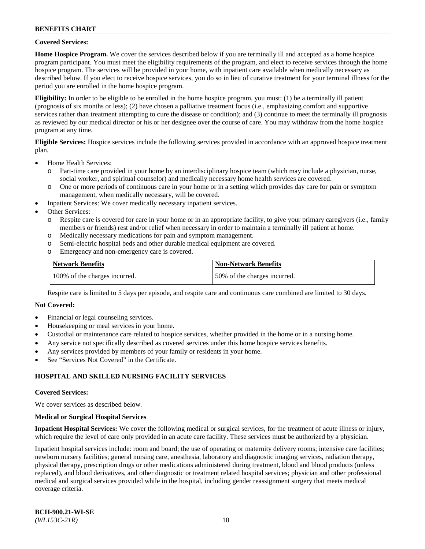#### **Covered Services:**

**Home Hospice Program.** We cover the services described below if you are terminally ill and accepted as a home hospice program participant. You must meet the eligibility requirements of the program, and elect to receive services through the home hospice program. The services will be provided in your home, with inpatient care available when medically necessary as described below. If you elect to receive hospice services, you do so in lieu of curative treatment for your terminal illness for the period you are enrolled in the home hospice program.

**Eligibility:** In order to be eligible to be enrolled in the home hospice program, you must: (1) be a terminally ill patient (prognosis of six months or less); (2) have chosen a palliative treatment focus (i.e., emphasizing comfort and supportive services rather than treatment attempting to cure the disease or condition); and (3) continue to meet the terminally ill prognosis as reviewed by our medical director or his or her designee over the course of care. You may withdraw from the home hospice program at any time.

**Eligible Services:** Hospice services include the following services provided in accordance with an approved hospice treatment plan.

- Home Health Services:
	- o Part-time care provided in your home by an interdisciplinary hospice team (which may include a physician, nurse, social worker, and spiritual counselor) and medically necessary home health services are covered.
	- o One or more periods of continuous care in your home or in a setting which provides day care for pain or symptom management, when medically necessary, will be covered.
	- Inpatient Services: We cover medically necessary inpatient services.
- Other Services:
	- o Respite care is covered for care in your home or in an appropriate facility, to give your primary caregivers (i.e., family members or friends) rest and/or relief when necessary in order to maintain a terminally ill patient at home.
	- o Medically necessary medications for pain and symptom management.
	- o Semi-electric hospital beds and other durable medical equipment are covered.
	- o Emergency and non-emergency care is covered.

| Network Benefits              | <b>Non-Network Benefits</b>  |
|-------------------------------|------------------------------|
| 100% of the charges incurred. | 50% of the charges incurred. |

Respite care is limited to 5 days per episode, and respite care and continuous care combined are limited to 30 days.

### **Not Covered:**

- Financial or legal counseling services.
- Housekeeping or meal services in your home.
- Custodial or maintenance care related to hospice services, whether provided in the home or in a nursing home.
- Any service not specifically described as covered services under this home hospice services benefits.
- Any services provided by members of your family or residents in your home.
- See "Services Not Covered" in the Certificate.

### **HOSPITAL AND SKILLED NURSING FACILITY SERVICES**

#### **Covered Services:**

We cover services as described below.

#### **Medical or Surgical Hospital Services**

**Inpatient Hospital Services:** We cover the following medical or surgical services, for the treatment of acute illness or injury, which require the level of care only provided in an acute care facility. These services must be authorized by a physician.

Inpatient hospital services include: room and board; the use of operating or maternity delivery rooms; intensive care facilities; newborn nursery facilities; general nursing care, anesthesia, laboratory and diagnostic imaging services, radiation therapy, physical therapy, prescription drugs or other medications administered during treatment, blood and blood products (unless replaced), and blood derivatives, and other diagnostic or treatment related hospital services; physician and other professional medical and surgical services provided while in the hospital, including gender reassignment surgery that meets medical coverage criteria.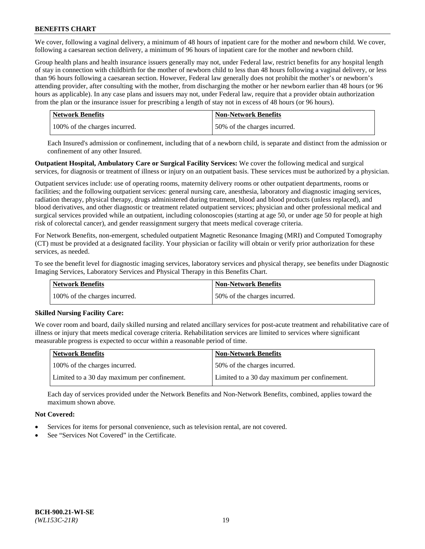We cover, following a vaginal delivery, a minimum of 48 hours of inpatient care for the mother and newborn child. We cover, following a caesarean section delivery, a minimum of 96 hours of inpatient care for the mother and newborn child.

Group health plans and health insurance issuers generally may not, under Federal law, restrict benefits for any hospital length of stay in connection with childbirth for the mother of newborn child to less than 48 hours following a vaginal delivery, or less than 96 hours following a caesarean section. However, Federal law generally does not prohibit the mother's or newborn's attending provider, after consulting with the mother, from discharging the mother or her newborn earlier than 48 hours (or 96 hours as applicable). In any case plans and issuers may not, under Federal law, require that a provider obtain authorization from the plan or the insurance issuer for prescribing a length of stay not in excess of 48 hours (or 96 hours).

| <b>Network Benefits</b>       | <b>Non-Network Benefits</b>  |
|-------------------------------|------------------------------|
| 100% of the charges incurred. | 50% of the charges incurred. |

Each Insured's admission or confinement, including that of a newborn child, is separate and distinct from the admission or confinement of any other Insured.

**Outpatient Hospital, Ambulatory Care or Surgical Facility Services:** We cover the following medical and surgical services, for diagnosis or treatment of illness or injury on an outpatient basis. These services must be authorized by a physician.

Outpatient services include: use of operating rooms, maternity delivery rooms or other outpatient departments, rooms or facilities; and the following outpatient services: general nursing care, anesthesia, laboratory and diagnostic imaging services, radiation therapy, physical therapy, drugs administered during treatment, blood and blood products (unless replaced), and blood derivatives, and other diagnostic or treatment related outpatient services; physician and other professional medical and surgical services provided while an outpatient, including colonoscopies (starting at age 50, or under age 50 for people at high risk of colorectal cancer), and gender reassignment surgery that meets medical coverage criteria.

For Network Benefits, non-emergent, scheduled outpatient Magnetic Resonance Imaging (MRI) and Computed Tomography (CT) must be provided at a designated facility. Your physician or facility will obtain or verify prior authorization for these services, as needed.

To see the benefit level for diagnostic imaging services, laboratory services and physical therapy, see benefits under Diagnostic Imaging Services, Laboratory Services and Physical Therapy in this Benefits Chart.

| <b>Network Benefits</b>       | <b>Non-Network Benefits</b>  |
|-------------------------------|------------------------------|
| 100% of the charges incurred. | 50% of the charges incurred. |

### **Skilled Nursing Facility Care:**

We cover room and board, daily skilled nursing and related ancillary services for post-acute treatment and rehabilitative care of illness or injury that meets medical coverage criteria. Rehabilitation services are limited to services where significant measurable progress is expected to occur within a reasonable period of time.

| <b>Network Benefits</b>                      | <b>Non-Network Benefits</b>                  |
|----------------------------------------------|----------------------------------------------|
| 100% of the charges incurred.                | 50% of the charges incurred.                 |
| Limited to a 30 day maximum per confinement. | Limited to a 30 day maximum per confinement. |

Each day of services provided under the Network Benefits and Non-Network Benefits, combined, applies toward the maximum shown above.

### **Not Covered:**

- Services for items for personal convenience, such as television rental, are not covered.
- See "Services Not Covered" in the Certificate.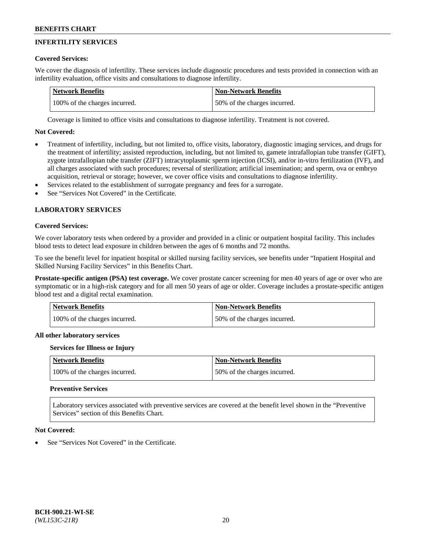# **INFERTILITY SERVICES**

### **Covered Services:**

We cover the diagnosis of infertility. These services include diagnostic procedures and tests provided in connection with an infertility evaluation, office visits and consultations to diagnose infertility.

| Network Benefits              | Non-Network Benefits         |
|-------------------------------|------------------------------|
| 100% of the charges incurred. | 50% of the charges incurred. |

Coverage is limited to office visits and consultations to diagnose infertility. Treatment is not covered.

# **Not Covered:**

- Treatment of infertility, including, but not limited to, office visits, laboratory, diagnostic imaging services, and drugs for the treatment of infertility; assisted reproduction, including, but not limited to, gamete intrafallopian tube transfer (GIFT), zygote intrafallopian tube transfer (ZIFT) intracytoplasmic sperm injection (ICSI), and/or in-vitro fertilization (IVF), and all charges associated with such procedures; reversal of sterilization; artificial insemination; and sperm, ova or embryo acquisition, retrieval or storage; however, we cover office visits and consultations to diagnose infertility.
- Services related to the establishment of surrogate pregnancy and fees for a surrogate.
- See "Services Not Covered" in the Certificate.

# **LABORATORY SERVICES**

#### **Covered Services:**

We cover laboratory tests when ordered by a provider and provided in a clinic or outpatient hospital facility. This includes blood tests to detect lead exposure in children between the ages of 6 months and 72 months.

To see the benefit level for inpatient hospital or skilled nursing facility services, see benefits under "Inpatient Hospital and Skilled Nursing Facility Services" in this Benefits Chart.

**Prostate-specific antigen (PSA) test coverage.** We cover prostate cancer screening for men 40 years of age or over who are symptomatic or in a high-risk category and for all men 50 years of age or older. Coverage includes a prostate-specific antigen blood test and a digital rectal examination.

| Network Benefits              | <b>Non-Network Benefits</b>  |
|-------------------------------|------------------------------|
| 100% of the charges incurred. | 50% of the charges incurred. |

### **All other laboratory services**

#### **Services for Illness or Injury**

| <b>Network Benefits</b>       | <b>Non-Network Benefits</b>  |
|-------------------------------|------------------------------|
| 100% of the charges incurred. | 50% of the charges incurred. |

## **Preventive Services**

Laboratory services associated with preventive services are covered at the benefit level shown in the "Preventive Services" section of this Benefits Chart.

#### **Not Covered:**

See "Services Not Covered" in the Certificate.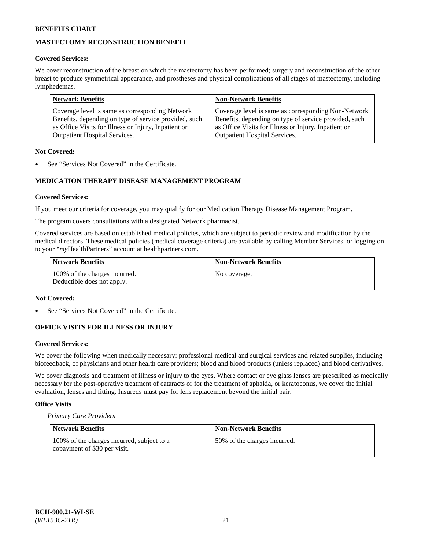# **MASTECTOMY RECONSTRUCTION BENEFIT**

### **Covered Services:**

We cover reconstruction of the breast on which the mastectomy has been performed; surgery and reconstruction of the other breast to produce symmetrical appearance, and prostheses and physical complications of all stages of mastectomy, including lymphedemas.

| <b>Network Benefits</b>                               | <b>Non-Network Benefits</b>                           |
|-------------------------------------------------------|-------------------------------------------------------|
| Coverage level is same as corresponding Network       | Coverage level is same as corresponding Non-Network   |
| Benefits, depending on type of service provided, such | Benefits, depending on type of service provided, such |
| as Office Visits for Illness or Injury, Inpatient or  | as Office Visits for Illness or Injury, Inpatient or  |
| <b>Outpatient Hospital Services.</b>                  | <b>Outpatient Hospital Services.</b>                  |

### **Not Covered:**

See "Services Not Covered" in the Certificate.

# **MEDICATION THERAPY DISEASE MANAGEMENT PROGRAM**

### **Covered Services:**

If you meet our criteria for coverage, you may qualify for our Medication Therapy Disease Management Program.

The program covers consultations with a designated Network pharmacist.

Covered services are based on established medical policies, which are subject to periodic review and modification by the medical directors. These medical policies (medical coverage criteria) are available by calling Member Services, or logging on to your "*my*HealthPartners" account at [healthpartners.com.](http://www.healthpartners.com/)

| <b>Network Benefits</b>                                     | Non-Network Benefits |
|-------------------------------------------------------------|----------------------|
| 100% of the charges incurred.<br>Deductible does not apply. | No coverage.         |

### **Not Covered:**

See "Services Not Covered" in the Certificate.

### **OFFICE VISITS FOR ILLNESS OR INJURY**

### **Covered Services:**

We cover the following when medically necessary: professional medical and surgical services and related supplies, including biofeedback, of physicians and other health care providers; blood and blood products (unless replaced) and blood derivatives.

We cover diagnosis and treatment of illness or injury to the eyes. Where contact or eye glass lenses are prescribed as medically necessary for the post-operative treatment of cataracts or for the treatment of aphakia, or keratoconus, we cover the initial evaluation, lenses and fitting. Insureds must pay for lens replacement beyond the initial pair.

### **Office Visits**

*Primary Care Providers*

| Network Benefits                                                           | <b>Non-Network Benefits</b>  |
|----------------------------------------------------------------------------|------------------------------|
| 100% of the charges incurred, subject to a<br>copayment of \$30 per visit. | 50% of the charges incurred. |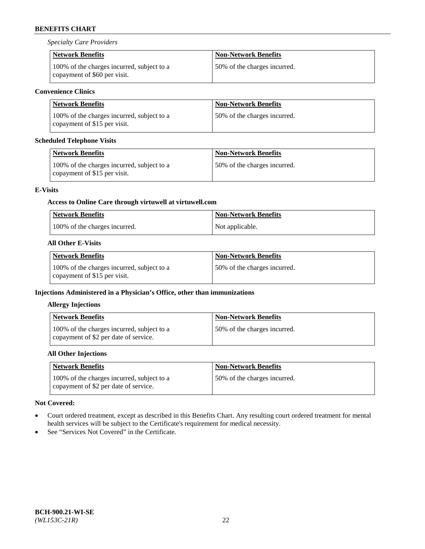*Specialty Care Providers*

| <b>Network Benefits</b>                                                    | <b>Non-Network Benefits</b>  |
|----------------------------------------------------------------------------|------------------------------|
| 100% of the charges incurred, subject to a<br>copayment of \$60 per visit. | 50% of the charges incurred. |

### **Convenience Clinics**

| Network Benefits                                                           | Non-Network Benefits         |
|----------------------------------------------------------------------------|------------------------------|
| 100% of the charges incurred, subject to a<br>copayment of \$15 per visit. | 50% of the charges incurred. |

### **Scheduled Telephone Visits**

| <b>Network Benefits</b>                                                    | <b>Non-Network Benefits</b>  |
|----------------------------------------------------------------------------|------------------------------|
| 100% of the charges incurred, subject to a<br>copayment of \$15 per visit. | 50% of the charges incurred. |

### **E-Visits**

# **Access to Online Care through virtuwell a[t virtuwell.com](https://www.virtuwell.com/)**

| <b>Network Benefits</b>       | <b>Non-Network Benefits</b> |
|-------------------------------|-----------------------------|
| 100% of the charges incurred. | Not applicable.             |

# **All Other E-Visits**

| Network Benefits                                                           | <b>Non-Network Benefits</b>  |
|----------------------------------------------------------------------------|------------------------------|
| 100% of the charges incurred, subject to a<br>copayment of \$15 per visit. | 50% of the charges incurred. |

### **Injections Administered in a Physician's Office, other than immunizations**

### **Allergy Injections**

| Network Benefits                                                                    | <b>Non-Network Benefits</b>  |
|-------------------------------------------------------------------------------------|------------------------------|
| 100% of the charges incurred, subject to a<br>copayment of \$2 per date of service. | 50% of the charges incurred. |

# **All Other Injections**

| <b>Network Benefits</b>                                                             | <b>Non-Network Benefits</b>  |
|-------------------------------------------------------------------------------------|------------------------------|
| 100% of the charges incurred, subject to a<br>copayment of \$2 per date of service. | 50% of the charges incurred. |

### **Not Covered:**

- Court ordered treatment, except as described in this Benefits Chart. Any resulting court ordered treatment for mental health services will be subject to the Certificate's requirement for medical necessity.
- See "Services Not Covered" in the Certificate.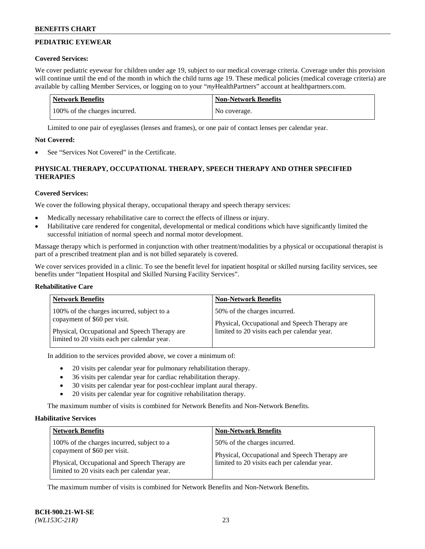# **PEDIATRIC EYEWEAR**

### **Covered Services:**

We cover pediatric eyewear for children under age 19, subject to our medical coverage criteria. Coverage under this provision will continue until the end of the month in which the child turns age 19. These medical policies (medical coverage criteria) are available by calling Member Services, or logging on to your "*my*HealthPartners" account a[t healthpartners.com.](https://www.healthpartners.com/hp/index.html)

| Network Benefits              | <b>Non-Network Benefits</b> |
|-------------------------------|-----------------------------|
| 100% of the charges incurred. | No coverage.                |

Limited to one pair of eyeglasses (lenses and frames), or one pair of contact lenses per calendar year.

## **Not Covered:**

See "Services Not Covered" in the Certificate.

# **PHYSICAL THERAPY, OCCUPATIONAL THERAPY, SPEECH THERAPY AND OTHER SPECIFIED THERAPIES**

# **Covered Services:**

We cover the following physical therapy, occupational therapy and speech therapy services:

- Medically necessary rehabilitative care to correct the effects of illness or injury.
- Habilitative care rendered for congenital, developmental or medical conditions which have significantly limited the successful initiation of normal speech and normal motor development.

Massage therapy which is performed in conjunction with other treatment/modalities by a physical or occupational therapist is part of a prescribed treatment plan and is not billed separately is covered.

We cover services provided in a clinic. To see the benefit level for inpatient hospital or skilled nursing facility services, see benefits under "Inpatient Hospital and Skilled Nursing Facility Services".

### **Rehabilitative Care**

| <b>Network Benefits</b>                       | <b>Non-Network Benefits</b>                   |
|-----------------------------------------------|-----------------------------------------------|
| 100% of the charges incurred, subject to a    | 50% of the charges incurred.                  |
| copayment of \$60 per visit.                  | Physical, Occupational and Speech Therapy are |
| Physical, Occupational and Speech Therapy are | limited to 20 visits each per calendar year.  |
| limited to 20 visits each per calendar year.  |                                               |

In addition to the services provided above, we cover a minimum of:

- 20 visits per calendar year for pulmonary rehabilitation therapy.
- 36 visits per calendar year for cardiac rehabilitation therapy.
- 30 visits per calendar year for post-cochlear implant aural therapy.
- 20 visits per calendar year for cognitive rehabilitation therapy.

The maximum number of visits is combined for Network Benefits and Non-Network Benefits.

### **Habilitative Services**

| <b>Network Benefits</b>                                                                                                                                                     | <b>Non-Network Benefits</b>                                                                                                   |
|-----------------------------------------------------------------------------------------------------------------------------------------------------------------------------|-------------------------------------------------------------------------------------------------------------------------------|
| 100% of the charges incurred, subject to a<br>copayment of \$60 per visit.<br>Physical, Occupational and Speech Therapy are<br>limited to 20 visits each per calendar year. | 50% of the charges incurred.<br>Physical, Occupational and Speech Therapy are<br>limited to 20 visits each per calendar year. |

The maximum number of visits is combined for Network Benefits and Non-Network Benefits.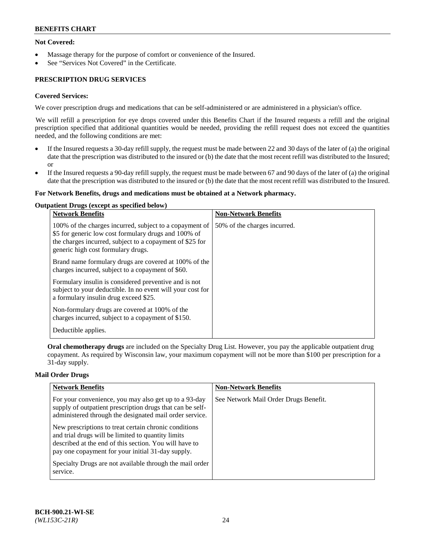### **Not Covered:**

- Massage therapy for the purpose of comfort or convenience of the Insured.
- See "Services Not Covered" in the Certificate.

# **PRESCRIPTION DRUG SERVICES**

#### **Covered Services:**

We cover prescription drugs and medications that can be self-administered or are administered in a physician's office.

We will refill a prescription for eye drops covered under this Benefits Chart if the Insured requests a refill and the original prescription specified that additional quantities would be needed, providing the refill request does not exceed the quantities needed, and the following conditions are met:

- If the Insured requests a 30-day refill supply, the request must be made between 22 and 30 days of the later of (a) the original date that the prescription was distributed to the insured or (b) the date that the most recent refill was distributed to the Insured; or
- If the Insured requests a 90-day refill supply, the request must be made between 67 and 90 days of the later of (a) the original date that the prescription was distributed to the insured or (b) the date that the most recent refill was distributed to the Insured.

#### **For Network Benefits, drugs and medications must be obtained at a Network pharmacy.**

#### **Outpatient Drugs (except as specified below)**

| <b>Network Benefits</b>                                                                                                                                                                                           | <b>Non-Network Benefits</b>  |
|-------------------------------------------------------------------------------------------------------------------------------------------------------------------------------------------------------------------|------------------------------|
| 100% of the charges incurred, subject to a copayment of<br>\$5 for generic low cost formulary drugs and 100% of<br>the charges incurred, subject to a copayment of \$25 for<br>generic high cost formulary drugs. | 50% of the charges incurred. |
| Brand name formulary drugs are covered at 100% of the<br>charges incurred, subject to a copayment of \$60.                                                                                                        |                              |
| Formulary insulin is considered preventive and is not<br>subject to your deductible. In no event will your cost for<br>a formulary insulin drug exceed \$25.                                                      |                              |
| Non-formulary drugs are covered at 100% of the<br>charges incurred, subject to a copayment of \$150.                                                                                                              |                              |
| Deductible applies.                                                                                                                                                                                               |                              |

**Oral chemotherapy drugs** are included on the Specialty Drug List. However, you pay the applicable outpatient drug copayment. As required by Wisconsin law, your maximum copayment will not be more than \$100 per prescription for a 31-day supply.

#### **Mail Order Drugs**

| <b>Network Benefits</b>                                                                                                                                                                                                    | <b>Non-Network Benefits</b>           |
|----------------------------------------------------------------------------------------------------------------------------------------------------------------------------------------------------------------------------|---------------------------------------|
| For your convenience, you may also get up to a 93-day<br>supply of outpatient prescription drugs that can be self-<br>administered through the designated mail order service.                                              | See Network Mail Order Drugs Benefit. |
| New prescriptions to treat certain chronic conditions<br>and trial drugs will be limited to quantity limits<br>described at the end of this section. You will have to<br>pay one copayment for your initial 31-day supply. |                                       |
| Specialty Drugs are not available through the mail order<br>service.                                                                                                                                                       |                                       |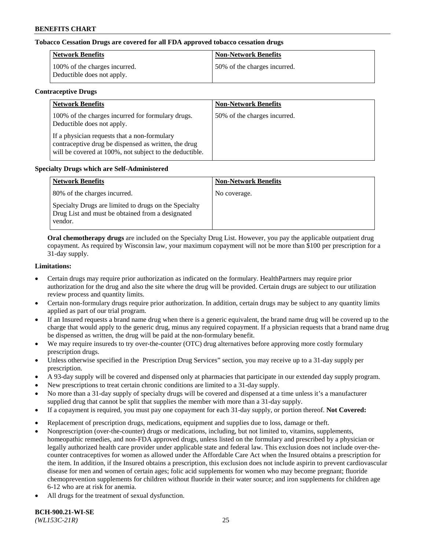### **Tobacco Cessation Drugs are covered for all FDA approved tobacco cessation drugs**

| <b>Network Benefits</b>                                     | <b>Non-Network Benefits</b>  |
|-------------------------------------------------------------|------------------------------|
| 100% of the charges incurred.<br>Deductible does not apply. | 50% of the charges incurred. |

#### **Contraceptive Drugs**

| <b>Network Benefits</b>                                                                                                                                         | <b>Non-Network Benefits</b>  |
|-----------------------------------------------------------------------------------------------------------------------------------------------------------------|------------------------------|
| 100% of the charges incurred for formulary drugs.<br>Deductible does not apply.                                                                                 | 50% of the charges incurred. |
| If a physician requests that a non-formulary<br>contraceptive drug be dispensed as written, the drug<br>will be covered at 100%, not subject to the deductible. |                              |

#### **Specialty Drugs which are Self-Administered**

| <b>Network Benefits</b>                                                                                              | <b>Non-Network Benefits</b> |
|----------------------------------------------------------------------------------------------------------------------|-----------------------------|
| 80% of the charges incurred.                                                                                         | No coverage.                |
| Specialty Drugs are limited to drugs on the Specialty<br>Drug List and must be obtained from a designated<br>vendor. |                             |

**Oral chemotherapy drugs** are included on the Specialty Drug List. However, you pay the applicable outpatient drug copayment. As required by Wisconsin law, your maximum copayment will not be more than \$100 per prescription for a 31-day supply.

#### **Limitations:**

- Certain drugs may require prior authorization as indicated on the formulary. HealthPartners may require prior authorization for the drug and also the site where the drug will be provided. Certain drugs are subject to our utilization review process and quantity limits.
- Certain non-formulary drugs require prior authorization. In addition, certain drugs may be subject to any quantity limits applied as part of our trial program.
- If an Insured requests a brand name drug when there is a generic equivalent, the brand name drug will be covered up to the charge that would apply to the generic drug, minus any required copayment. If a physician requests that a brand name drug be dispensed as written, the drug will be paid at the non-formulary benefit.
- We may require insureds to try over-the-counter (OTC) drug alternatives before approving more costly formulary prescription drugs.
- Unless otherwise specified in the Prescription Drug Services" section, you may receive up to a 31-day supply per prescription.
- A 93-day supply will be covered and dispensed only at pharmacies that participate in our extended day supply program.
- New prescriptions to treat certain chronic conditions are limited to a 31-day supply.
- No more than a 31-day supply of specialty drugs will be covered and dispensed at a time unless it's a manufacturer supplied drug that cannot be split that supplies the member with more than a 31-day supply.
- If a copayment is required, you must pay one copayment for each 31-day supply, or portion thereof. **Not Covered:**
- Replacement of prescription drugs, medications, equipment and supplies due to loss, damage or theft.
- Nonprescription (over-the-counter) drugs or medications, including, but not limited to, vitamins, supplements, homeopathic remedies, and non-FDA approved drugs, unless listed on the formulary and prescribed by a physician or legally authorized health care provider under applicable state and federal law. This exclusion does not include over-thecounter contraceptives for women as allowed under the Affordable Care Act when the Insured obtains a prescription for the item. In addition, if the Insured obtains a prescription, this exclusion does not include aspirin to prevent cardiovascular disease for men and women of certain ages; folic acid supplements for women who may become pregnant; fluoride chemoprevention supplements for children without fluoride in their water source; and iron supplements for children age 6-12 who are at risk for anemia.
- All drugs for the treatment of sexual dysfunction.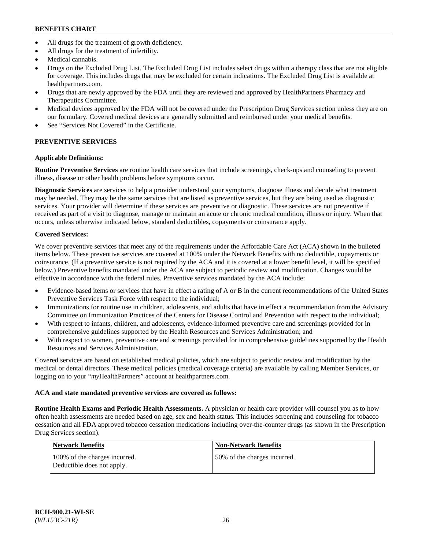- All drugs for the treatment of growth deficiency.
- All drugs for the treatment of infertility.
- Medical cannabis.
- Drugs on the Excluded Drug List. The Excluded Drug List includes select drugs within a therapy class that are not eligible for coverage. This includes drugs that may be excluded for certain indications. The Excluded Drug List is available at [healthpartners.com.](http://www.healthpartners.com/)
- Drugs that are newly approved by the FDA until they are reviewed and approved by HealthPartners Pharmacy and Therapeutics Committee.
- Medical devices approved by the FDA will not be covered under the Prescription Drug Services section unless they are on our formulary. Covered medical devices are generally submitted and reimbursed under your medical benefits.
- See "Services Not Covered" in the Certificate.

# **PREVENTIVE SERVICES**

### **Applicable Definitions:**

**Routine Preventive Services** are routine health care services that include screenings, check-ups and counseling to prevent illness, disease or other health problems before symptoms occur.

**Diagnostic Services** are services to help a provider understand your symptoms, diagnose illness and decide what treatment may be needed. They may be the same services that are listed as preventive services, but they are being used as diagnostic services. Your provider will determine if these services are preventive or diagnostic. These services are not preventive if received as part of a visit to diagnose, manage or maintain an acute or chronic medical condition, illness or injury. When that occurs, unless otherwise indicated below, standard deductibles, copayments or coinsurance apply.

# **Covered Services:**

We cover preventive services that meet any of the requirements under the Affordable Care Act (ACA) shown in the bulleted items below. These preventive services are covered at 100% under the Network Benefits with no deductible, copayments or coinsurance. (If a preventive service is not required by the ACA and it is covered at a lower benefit level, it will be specified below.) Preventive benefits mandated under the ACA are subject to periodic review and modification. Changes would be effective in accordance with the federal rules. Preventive services mandated by the ACA include:

- Evidence-based items or services that have in effect a rating of A or B in the current recommendations of the United States Preventive Services Task Force with respect to the individual;
- Immunizations for routine use in children, adolescents, and adults that have in effect a recommendation from the Advisory Committee on Immunization Practices of the Centers for Disease Control and Prevention with respect to the individual;
- With respect to infants, children, and adolescents, evidence-informed preventive care and screenings provided for in comprehensive guidelines supported by the Health Resources and Services Administration; and
- With respect to women, preventive care and screenings provided for in comprehensive guidelines supported by the Health Resources and Services Administration.

Covered services are based on established medical policies, which are subject to periodic review and modification by the medical or dental directors. These medical policies (medical coverage criteria) are available by calling Member Services, or logging on to your "*my*HealthPartners" account at [healthpartners.com.](https://www.healthpartners.com/hp/index.html)

### **ACA and state mandated preventive services are covered as follows:**

**Routine Health Exams and Periodic Health Assessments.** A physician or health care provider will counsel you as to how often health assessments are needed based on age, sex and health status. This includes screening and counseling for tobacco cessation and all FDA approved tobacco cessation medications including over-the-counter drugs (as shown in the Prescription Drug Services section).

| Network Benefits                                            | <b>Non-Network Benefits</b>  |
|-------------------------------------------------------------|------------------------------|
| 100% of the charges incurred.<br>Deductible does not apply. | 50% of the charges incurred. |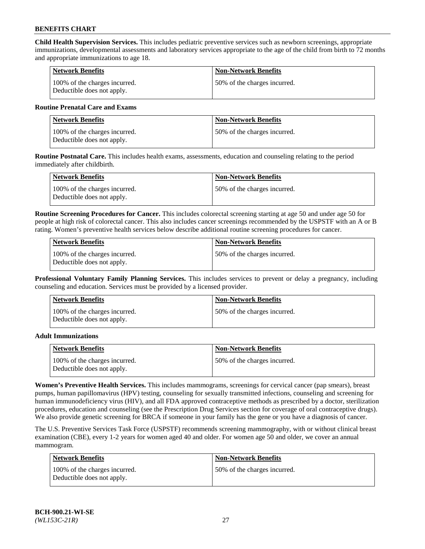**Child Health Supervision Services.** This includes pediatric preventive services such as newborn screenings, appropriate immunizations, developmental assessments and laboratory services appropriate to the age of the child from birth to 72 months and appropriate immunizations to age 18.

| <b>Network Benefits</b>                                     | <b>Non-Network Benefits</b>  |
|-------------------------------------------------------------|------------------------------|
| 100% of the charges incurred.<br>Deductible does not apply. | 50% of the charges incurred. |

#### **Routine Prenatal Care and Exams**

| Network Benefits                                            | <b>Non-Network Benefits</b>  |
|-------------------------------------------------------------|------------------------------|
| 100% of the charges incurred.<br>Deductible does not apply. | 50% of the charges incurred. |

**Routine Postnatal Care.** This includes health exams, assessments, education and counseling relating to the period immediately after childbirth.

| <b>Network Benefits</b>                                     | <b>Non-Network Benefits</b>  |
|-------------------------------------------------------------|------------------------------|
| 100% of the charges incurred.<br>Deductible does not apply. | 50% of the charges incurred. |

**Routine Screening Procedures for Cancer.** This includes colorectal screening starting at age 50 and under age 50 for people at high risk of colorectal cancer. This also includes cancer screenings recommended by the USPSTF with an A or B rating. Women's preventive health services below describe additional routine screening procedures for cancer.

| <b>Network Benefits</b>                                     | <b>Non-Network Benefits</b>   |
|-------------------------------------------------------------|-------------------------------|
| 100% of the charges incurred.<br>Deductible does not apply. | 150% of the charges incurred. |

**Professional Voluntary Family Planning Services.** This includes services to prevent or delay a pregnancy, including counseling and education. Services must be provided by a licensed provider.

| <b>Network Benefits</b>                                     | <b>Non-Network Benefits</b>  |
|-------------------------------------------------------------|------------------------------|
| 100% of the charges incurred.<br>Deductible does not apply. | 50% of the charges incurred. |

#### **Adult Immunizations**

| Network Benefits                                            | <b>Non-Network Benefits</b>   |
|-------------------------------------------------------------|-------------------------------|
| 100% of the charges incurred.<br>Deductible does not apply. | 150% of the charges incurred. |

**Women's Preventive Health Services.** This includes mammograms, screenings for cervical cancer (pap smears), breast pumps, human papillomavirus (HPV) testing, counseling for sexually transmitted infections, counseling and screening for human immunodeficiency virus (HIV), and all FDA approved contraceptive methods as prescribed by a doctor, sterilization procedures, education and counseling (see the Prescription Drug Services section for coverage of oral contraceptive drugs). We also provide genetic screening for BRCA if someone in your family has the gene or you have a diagnosis of cancer.

The U.S. Preventive Services Task Force (USPSTF) recommends screening mammography, with or without clinical breast examination (CBE), every 1-2 years for women aged 40 and older. For women age 50 and older, we cover an annual mammogram.

| <b>Network Benefits</b>                                     | <b>Non-Network Benefits</b>  |
|-------------------------------------------------------------|------------------------------|
| 100% of the charges incurred.<br>Deductible does not apply. | 50% of the charges incurred. |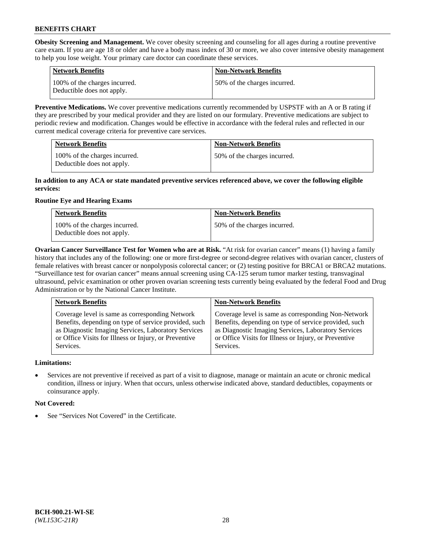**Obesity Screening and Management.** We cover obesity screening and counseling for all ages during a routine preventive care exam. If you are age 18 or older and have a body mass index of 30 or more, we also cover intensive obesity management to help you lose weight. Your primary care doctor can coordinate these services.

| <b>Network Benefits</b>                                     | <b>Non-Network Benefits</b>  |
|-------------------------------------------------------------|------------------------------|
| 100% of the charges incurred.<br>Deductible does not apply. | 50% of the charges incurred. |

**Preventive Medications.** We cover preventive medications currently recommended by USPSTF with an A or B rating if they are prescribed by your medical provider and they are listed on our formulary. Preventive medications are subject to periodic review and modification. Changes would be effective in accordance with the federal rules and reflected in our current medical coverage criteria for preventive care services.

| <b>Network Benefits</b>                                     | <b>Non-Network Benefits</b>  |
|-------------------------------------------------------------|------------------------------|
| 100% of the charges incurred.<br>Deductible does not apply. | 50% of the charges incurred. |

#### **In addition to any ACA or state mandated preventive services referenced above, we cover the following eligible services:**

# **Routine Eye and Hearing Exams**

| <b>Network Benefits</b>                                     | <b>Non-Network Benefits</b>  |
|-------------------------------------------------------------|------------------------------|
| 100% of the charges incurred.<br>Deductible does not apply. | 50% of the charges incurred. |

**Ovarian Cancer Surveillance Test for Women who are at Risk.** "At risk for ovarian cancer" means (1) having a family history that includes any of the following: one or more first-degree or second-degree relatives with ovarian cancer, clusters of female relatives with breast cancer or nonpolyposis colorectal cancer; or (2) testing positive for BRCA1 or BRCA2 mutations. "Surveillance test for ovarian cancer" means annual screening using CA-125 serum tumor marker testing, transvaginal ultrasound, pelvic examination or other proven ovarian screening tests currently being evaluated by the federal Food and Drug Administration or by the National Cancer Institute.

| <b>Network Benefits</b>                               | <b>Non-Network Benefits</b>                           |
|-------------------------------------------------------|-------------------------------------------------------|
| Coverage level is same as corresponding Network       | Coverage level is same as corresponding Non-Network   |
| Benefits, depending on type of service provided, such | Benefits, depending on type of service provided, such |
| as Diagnostic Imaging Services, Laboratory Services   | as Diagnostic Imaging Services, Laboratory Services   |
| or Office Visits for Illness or Injury, or Preventive | or Office Visits for Illness or Injury, or Preventive |
| Services.                                             | Services.                                             |

### **Limitations:**

• Services are not preventive if received as part of a visit to diagnose, manage or maintain an acute or chronic medical condition, illness or injury. When that occurs, unless otherwise indicated above, standard deductibles, copayments or coinsurance apply.

### **Not Covered:**

See "Services Not Covered" in the Certificate.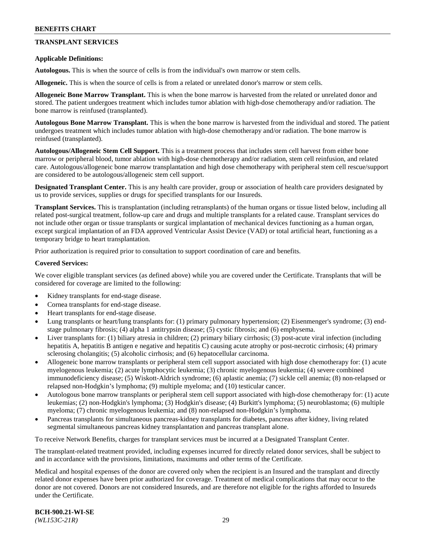### **TRANSPLANT SERVICES**

#### **Applicable Definitions:**

**Autologous.** This is when the source of cells is from the individual's own marrow or stem cells.

**Allogeneic.** This is when the source of cells is from a related or unrelated donor's marrow or stem cells.

**Allogeneic Bone Marrow Transplant.** This is when the bone marrow is harvested from the related or unrelated donor and stored. The patient undergoes treatment which includes tumor ablation with high-dose chemotherapy and/or radiation. The bone marrow is reinfused (transplanted).

**Autologous Bone Marrow Transplant.** This is when the bone marrow is harvested from the individual and stored. The patient undergoes treatment which includes tumor ablation with high-dose chemotherapy and/or radiation. The bone marrow is reinfused (transplanted).

**Autologous/Allogeneic Stem Cell Support.** This is a treatment process that includes stem cell harvest from either bone marrow or peripheral blood, tumor ablation with high-dose chemotherapy and/or radiation, stem cell reinfusion, and related care. Autologous/allogeneic bone marrow transplantation and high dose chemotherapy with peripheral stem cell rescue/support are considered to be autologous/allogeneic stem cell support.

**Designated Transplant Center.** This is any health care provider, group or association of health care providers designated by us to provide services, supplies or drugs for specified transplants for our Insureds.

**Transplant Services.** This is transplantation (including retransplants) of the human organs or tissue listed below, including all related post-surgical treatment, follow-up care and drugs and multiple transplants for a related cause. Transplant services do not include other organ or tissue transplants or surgical implantation of mechanical devices functioning as a human organ, except surgical implantation of an FDA approved Ventricular Assist Device (VAD) or total artificial heart, functioning as a temporary bridge to heart transplantation.

Prior authorization is required prior to consultation to support coordination of care and benefits.

#### **Covered Services:**

We cover eligible transplant services (as defined above) while you are covered under the Certificate. Transplants that will be considered for coverage are limited to the following:

- Kidney transplants for end-stage disease.
- Cornea transplants for end-stage disease.
- Heart transplants for end-stage disease.
- Lung transplants or heart/lung transplants for: (1) primary pulmonary hypertension; (2) Eisenmenger's syndrome; (3) endstage pulmonary fibrosis; (4) alpha 1 antitrypsin disease; (5) cystic fibrosis; and (6) emphysema.
- Liver transplants for: (1) biliary atresia in children; (2) primary biliary cirrhosis; (3) post-acute viral infection (including hepatitis A, hepatitis B antigen e negative and hepatitis C) causing acute atrophy or post-necrotic cirrhosis; (4) primary sclerosing cholangitis; (5) alcoholic cirrhosis; and (6) hepatocellular carcinoma.
- Allogeneic bone marrow transplants or peripheral stem cell support associated with high dose chemotherapy for: (1) acute myelogenous leukemia; (2) acute lymphocytic leukemia; (3) chronic myelogenous leukemia; (4) severe combined immunodeficiency disease; (5) Wiskott-Aldrich syndrome; (6) aplastic anemia; (7) sickle cell anemia; (8) non-relapsed or relapsed non-Hodgkin's lymphoma; (9) multiple myeloma; and (10) testicular cancer.
- Autologous bone marrow transplants or peripheral stem cell support associated with high-dose chemotherapy for: (1) acute leukemias; (2) non-Hodgkin's lymphoma; (3) Hodgkin's disease; (4) Burkitt's lymphoma; (5) neuroblastoma; (6) multiple myeloma; (7) chronic myelogenous leukemia; and (8) non-relapsed non-Hodgkin's lymphoma.
- Pancreas transplants for simultaneous pancreas-kidney transplants for diabetes, pancreas after kidney, living related segmental simultaneous pancreas kidney transplantation and pancreas transplant alone.

To receive Network Benefits, charges for transplant services must be incurred at a Designated Transplant Center.

The transplant-related treatment provided, including expenses incurred for directly related donor services, shall be subject to and in accordance with the provisions, limitations, maximums and other terms of the Certificate.

Medical and hospital expenses of the donor are covered only when the recipient is an Insured and the transplant and directly related donor expenses have been prior authorized for coverage. Treatment of medical complications that may occur to the donor are not covered. Donors are not considered Insureds, and are therefore not eligible for the rights afforded to Insureds under the Certificate.